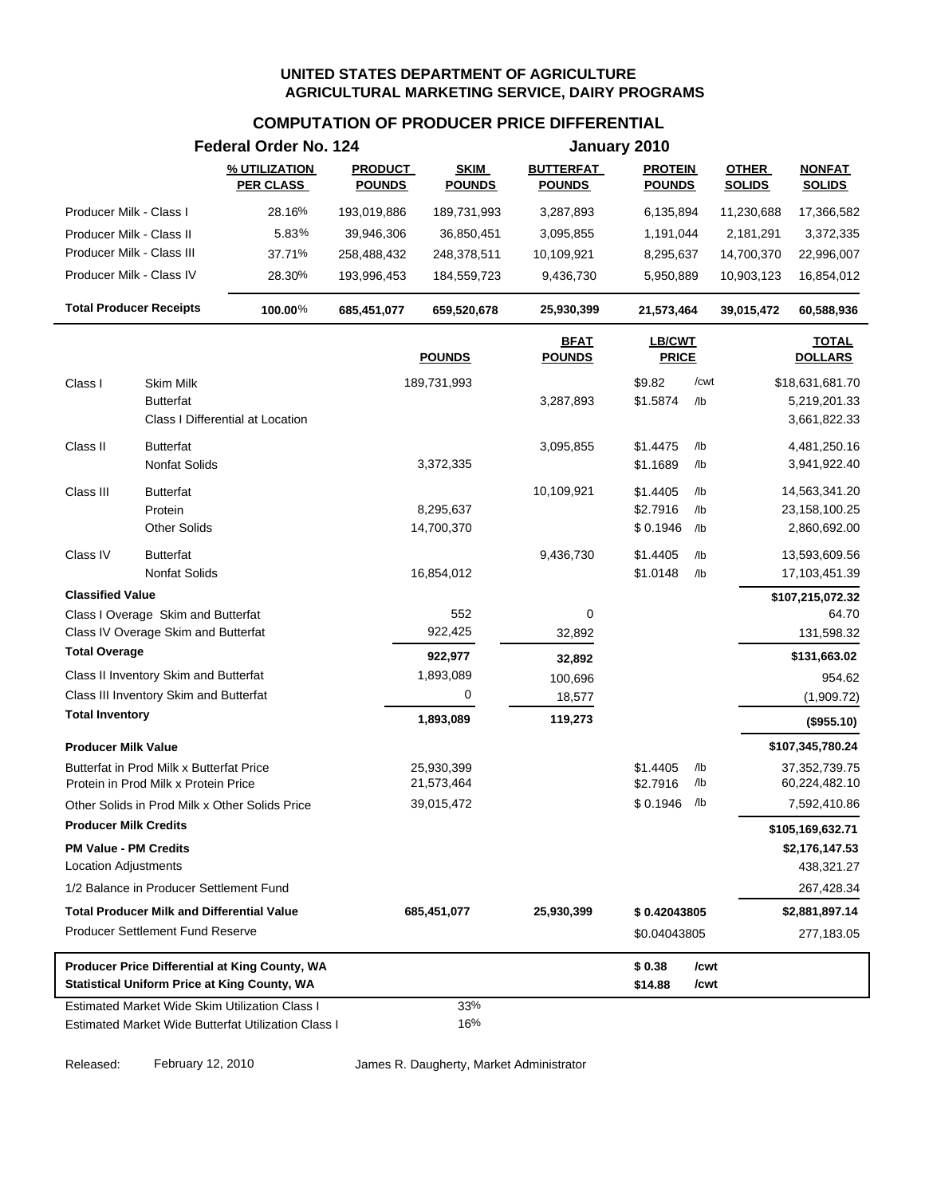# **COMPUTATION OF PRODUCER PRICE DIFFERENTIAL**

|                                |                                                                                  | Federal Order No. 124                                                                                        |                                 |                              |                                   | January 2010                    |            |                               |                                   |
|--------------------------------|----------------------------------------------------------------------------------|--------------------------------------------------------------------------------------------------------------|---------------------------------|------------------------------|-----------------------------------|---------------------------------|------------|-------------------------------|-----------------------------------|
|                                |                                                                                  | % UTILIZATION<br><b>PER CLASS</b>                                                                            | <b>PRODUCT</b><br><b>POUNDS</b> | <b>SKIM</b><br><b>POUNDS</b> | <b>BUTTERFAT</b><br><b>POUNDS</b> | <b>PROTEIN</b><br><b>POUNDS</b> |            | <b>OTHER</b><br><b>SOLIDS</b> | <b>NONFAT</b><br><b>SOLIDS</b>    |
| Producer Milk - Class I        |                                                                                  | 28.16%                                                                                                       | 193,019,886                     | 189,731,993                  | 3,287,893                         | 6,135,894                       |            | 11,230,688                    | 17,366,582                        |
| Producer Milk - Class II       |                                                                                  | 5.83%                                                                                                        | 39,946,306                      | 36,850,451                   | 3,095,855                         | 1,191,044                       |            | 2,181,291                     | 3,372,335                         |
| Producer Milk - Class III      |                                                                                  | 37.71%                                                                                                       | 258,488,432                     | 248,378,511                  | 10,109,921                        | 8,295,637                       |            | 14,700,370                    | 22,996,007                        |
| Producer Milk - Class IV       |                                                                                  | 28.30%                                                                                                       | 193,996,453                     | 184,559,723                  | 9,436,730                         | 5,950,889                       |            | 10,903,123                    | 16,854,012                        |
| <b>Total Producer Receipts</b> |                                                                                  | 100.00%                                                                                                      | 685,451,077                     | 659,520,678                  | 25,930,399                        | 21,573,464                      |            | 39,015,472                    | 60,588,936                        |
|                                |                                                                                  |                                                                                                              |                                 | <b>POUNDS</b>                | <b>BFAT</b><br><b>POUNDS</b>      | LB/CWT<br><b>PRICE</b>          |            |                               | <b>TOTAL</b><br><b>DOLLARS</b>    |
| Class I                        | Skim Milk                                                                        |                                                                                                              |                                 | 189,731,993                  |                                   | \$9.82                          | /cwt       |                               | \$18,631,681.70                   |
|                                | <b>Butterfat</b>                                                                 | Class I Differential at Location                                                                             |                                 |                              | 3,287,893                         | \$1.5874                        | /lb        |                               | 5,219,201.33<br>3,661,822.33      |
|                                |                                                                                  |                                                                                                              |                                 |                              |                                   |                                 |            |                               |                                   |
| Class II                       | <b>Butterfat</b><br>Nonfat Solids                                                |                                                                                                              |                                 | 3,372,335                    | 3,095,855                         | \$1.4475<br>\$1.1689            | /lb<br>/lb |                               | 4,481,250.16<br>3,941,922.40      |
| Class III                      | <b>Butterfat</b>                                                                 |                                                                                                              |                                 |                              | 10,109,921                        | \$1.4405                        | /lb        |                               | 14,563,341.20                     |
|                                | Protein                                                                          |                                                                                                              |                                 | 8,295,637                    |                                   | \$2.7916                        | /lb        |                               | 23,158,100.25                     |
|                                | <b>Other Solids</b>                                                              |                                                                                                              |                                 | 14,700,370                   |                                   | \$0.1946                        | /lb        |                               | 2,860,692.00                      |
| Class IV                       | <b>Butterfat</b>                                                                 |                                                                                                              |                                 |                              | 9,436,730                         | \$1.4405                        | /lb        |                               | 13,593,609.56                     |
|                                | Nonfat Solids                                                                    |                                                                                                              |                                 | 16,854,012                   |                                   | \$1.0148                        | /lb        |                               | 17,103,451.39                     |
| <b>Classified Value</b>        |                                                                                  |                                                                                                              |                                 |                              |                                   |                                 |            |                               | \$107,215,072.32                  |
|                                | Class I Overage Skim and Butterfat                                               |                                                                                                              |                                 | 552                          | 0                                 |                                 |            |                               | 64.70                             |
|                                | Class IV Overage Skim and Butterfat                                              |                                                                                                              |                                 | 922,425                      | 32,892                            |                                 |            |                               | 131,598.32                        |
| <b>Total Overage</b>           |                                                                                  |                                                                                                              |                                 | 922,977                      | 32,892                            |                                 |            |                               | \$131,663.02                      |
|                                | Class II Inventory Skim and Butterfat                                            |                                                                                                              |                                 | 1,893,089                    | 100,696                           |                                 |            |                               | 954.62                            |
|                                | Class III Inventory Skim and Butterfat                                           |                                                                                                              |                                 | 0                            | 18,577                            |                                 |            |                               | (1,909.72)                        |
| <b>Total Inventory</b>         |                                                                                  |                                                                                                              |                                 | 1,893,089                    | 119,273                           |                                 |            |                               | (\$955.10)                        |
| <b>Producer Milk Value</b>     |                                                                                  |                                                                                                              |                                 |                              |                                   |                                 |            |                               | \$107,345,780.24                  |
|                                | Butterfat in Prod Milk x Butterfat Price<br>Protein in Prod Milk x Protein Price |                                                                                                              |                                 | 25,930,399<br>21,573,464     |                                   | \$1.4405<br>\$2.7916            | /lb<br>/lb |                               | 37, 352, 739. 75<br>60,224,482.10 |
|                                |                                                                                  | Other Solids in Prod Milk x Other Solids Price                                                               |                                 | 39,015,472                   |                                   | \$0.1946                        | /lb        |                               | 7,592,410.86                      |
| <b>Producer Milk Credits</b>   |                                                                                  |                                                                                                              |                                 |                              |                                   |                                 |            |                               | \$105,169,632.71                  |
| <b>PM Value - PM Credits</b>   |                                                                                  |                                                                                                              |                                 |                              |                                   |                                 |            |                               | \$2,176,147.53                    |
| Location Adjustments           |                                                                                  |                                                                                                              |                                 |                              |                                   |                                 |            |                               | 438,321.27                        |
|                                | 1/2 Balance in Producer Settlement Fund                                          |                                                                                                              |                                 |                              |                                   |                                 |            |                               | 267,428.34                        |
|                                | <b>Total Producer Milk and Differential Value</b>                                |                                                                                                              |                                 | 685,451,077                  | 25,930,399                        | \$0.42043805                    |            |                               | \$2,881,897.14                    |
|                                | <b>Producer Settlement Fund Reserve</b>                                          |                                                                                                              |                                 |                              |                                   | \$0.04043805                    |            |                               | 277,183.05                        |
|                                |                                                                                  | Producer Price Differential at King County, WA                                                               |                                 |                              |                                   | \$0.38                          | /cwt       |                               |                                   |
|                                |                                                                                  | <b>Statistical Uniform Price at King County, WA</b>                                                          |                                 |                              |                                   | \$14.88                         | /cwt       |                               |                                   |
|                                |                                                                                  | <b>Estimated Market Wide Skim Utilization Class I</b><br>Estimated Market Wide Butterfat Utilization Class I |                                 | 33%<br>16%                   |                                   |                                 |            |                               |                                   |

Released: February 12, 2010 James R. Daugherty, Market Administrator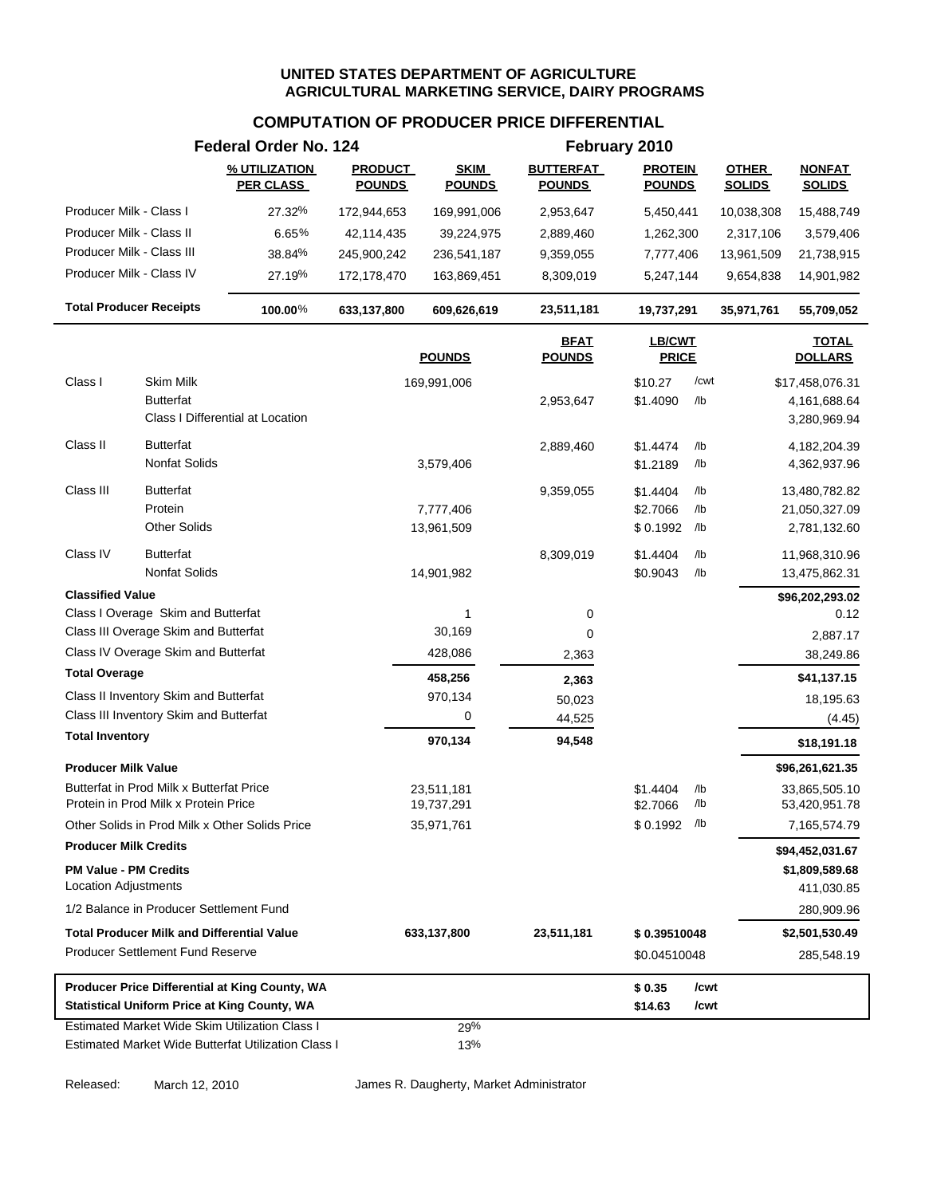### **COMPUTATION OF PRODUCER PRICE DIFFERENTIAL**

|                                                             |                                                                                  | Federal Order No. 124                                                                                 |                                 |                              |                                   | February 2010                   |            |                               |                                |
|-------------------------------------------------------------|----------------------------------------------------------------------------------|-------------------------------------------------------------------------------------------------------|---------------------------------|------------------------------|-----------------------------------|---------------------------------|------------|-------------------------------|--------------------------------|
|                                                             |                                                                                  | % UTILIZATION<br><b>PER CLASS</b>                                                                     | <b>PRODUCT</b><br><b>POUNDS</b> | <b>SKIM</b><br><b>POUNDS</b> | <b>BUTTERFAT</b><br><b>POUNDS</b> | <b>PROTEIN</b><br><b>POUNDS</b> |            | <b>OTHER</b><br><b>SOLIDS</b> | <b>NONFAT</b><br><b>SOLIDS</b> |
| Producer Milk - Class I                                     |                                                                                  | 27.32%                                                                                                | 172,944,653                     | 169,991,006                  | 2,953,647                         | 5,450,441                       |            | 10,038,308                    | 15,488,749                     |
| Producer Milk - Class II                                    |                                                                                  | 6.65%                                                                                                 | 42,114,435                      | 39,224,975                   | 2,889,460                         | 1,262,300                       |            | 2,317,106                     | 3,579,406                      |
| Producer Milk - Class III                                   |                                                                                  | 38.84%                                                                                                | 245,900,242                     | 236,541,187                  | 9,359,055                         | 7,777,406                       |            | 13,961,509                    | 21,738,915                     |
| Producer Milk - Class IV                                    |                                                                                  | 27.19%                                                                                                | 172,178,470                     | 163,869,451                  | 8,309,019                         | 5,247,144                       |            | 9,654,838                     | 14,901,982                     |
| <b>Total Producer Receipts</b>                              |                                                                                  | $100.00\%$                                                                                            | 633,137,800                     | 609,626,619                  | 23,511,181                        | 19,737,291                      |            | 35,971,761                    | 55,709,052                     |
|                                                             |                                                                                  |                                                                                                       |                                 | <b>POUNDS</b>                | <b>BFAT</b><br><b>POUNDS</b>      | <b>LB/CWT</b><br><b>PRICE</b>   |            |                               | <b>TOTAL</b><br><b>DOLLARS</b> |
| Class I                                                     | Skim Milk                                                                        |                                                                                                       |                                 | 169,991,006                  |                                   | \$10.27                         | /cwt       |                               | \$17,458,076.31                |
|                                                             | Butterfat                                                                        | Class I Differential at Location                                                                      |                                 |                              | 2,953,647                         | \$1.4090                        | /lb        |                               | 4,161,688.64<br>3,280,969.94   |
| Class II                                                    | <b>Butterfat</b><br><b>Nonfat Solids</b>                                         |                                                                                                       |                                 | 3,579,406                    | 2,889,460                         | \$1.4474<br>\$1.2189            | /lb<br>/lb |                               | 4,182,204.39<br>4,362,937.96   |
| Class III                                                   | <b>Butterfat</b><br>Protein                                                      |                                                                                                       |                                 | 7,777,406                    | 9,359,055                         | \$1.4404<br>\$2.7066            | /lb<br>/lb |                               | 13,480,782.82<br>21,050,327.09 |
|                                                             | <b>Other Solids</b>                                                              |                                                                                                       |                                 | 13,961,509                   |                                   | \$0.1992                        | /lb        |                               | 2,781,132.60                   |
| Class IV                                                    | <b>Butterfat</b><br>Nonfat Solids                                                |                                                                                                       |                                 | 14,901,982                   | 8,309,019                         | \$1.4404<br>\$0.9043            | /lb<br>/lb |                               | 11,968,310.96<br>13,475,862.31 |
| <b>Classified Value</b>                                     |                                                                                  |                                                                                                       |                                 |                              |                                   |                                 |            |                               | \$96,202,293.02                |
|                                                             | Class I Overage Skim and Butterfat                                               |                                                                                                       |                                 | 1                            | 0                                 |                                 |            |                               | 0.12                           |
|                                                             | Class III Overage Skim and Butterfat                                             |                                                                                                       |                                 | 30,169                       | 0                                 |                                 |            |                               | 2,887.17                       |
|                                                             | Class IV Overage Skim and Butterfat                                              |                                                                                                       |                                 | 428,086                      | 2,363                             |                                 |            |                               | 38,249.86                      |
| <b>Total Overage</b>                                        |                                                                                  |                                                                                                       |                                 | 458,256                      | 2,363                             |                                 |            |                               | \$41,137.15                    |
|                                                             | Class II Inventory Skim and Butterfat                                            |                                                                                                       |                                 | 970,134                      | 50,023                            |                                 |            |                               | 18,195.63                      |
|                                                             | Class III Inventory Skim and Butterfat                                           |                                                                                                       |                                 | 0                            | 44,525                            |                                 |            |                               | (4.45)                         |
| <b>Total Inventory</b>                                      |                                                                                  |                                                                                                       |                                 | 970,134                      | 94,548                            |                                 |            |                               | \$18,191.18                    |
| <b>Producer Milk Value</b>                                  |                                                                                  |                                                                                                       |                                 |                              |                                   |                                 |            |                               | \$96,261,621.35                |
|                                                             | Butterfat in Prod Milk x Butterfat Price<br>Protein in Prod Milk x Protein Price |                                                                                                       |                                 | 23,511,181<br>19,737,291     |                                   | \$1.4404<br>\$2.7066            | /lb<br>/lb |                               | 33,865,505.10<br>53,420,951.78 |
|                                                             |                                                                                  | Other Solids in Prod Milk x Other Solids Price                                                        |                                 | 35,971,761                   |                                   | $$0.1992$ /lb                   |            |                               | 7,165,574.79                   |
| <b>Producer Milk Credits</b>                                |                                                                                  |                                                                                                       |                                 |                              |                                   |                                 |            |                               | \$94,452,031.67                |
| <b>PM Value - PM Credits</b><br><b>Location Adjustments</b> |                                                                                  |                                                                                                       |                                 |                              |                                   |                                 |            |                               | \$1,809,589.68<br>411,030.85   |
|                                                             | 1/2 Balance in Producer Settlement Fund                                          |                                                                                                       |                                 |                              |                                   |                                 |            |                               | 280,909.96                     |
|                                                             | <b>Total Producer Milk and Differential Value</b>                                |                                                                                                       |                                 | 633,137,800                  | 23,511,181                        | \$0.39510048                    |            |                               | \$2,501,530.49                 |
|                                                             | <b>Producer Settlement Fund Reserve</b>                                          |                                                                                                       |                                 |                              |                                   | \$0.04510048                    |            |                               | 285,548.19                     |
|                                                             |                                                                                  | Producer Price Differential at King County, WA                                                        |                                 |                              |                                   | \$0.35                          | /cwt       |                               |                                |
|                                                             |                                                                                  | <b>Statistical Uniform Price at King County, WA</b>                                                   |                                 |                              |                                   | \$14.63                         | /cwt       |                               |                                |
|                                                             |                                                                                  | Estimated Market Wide Skim Utilization Class I<br>Estimated Market Wide Butterfat Utilization Class I |                                 | 29%<br>13%                   |                                   |                                 |            |                               |                                |

Released: March 12, 2010 James R. Daugherty, Market Administrator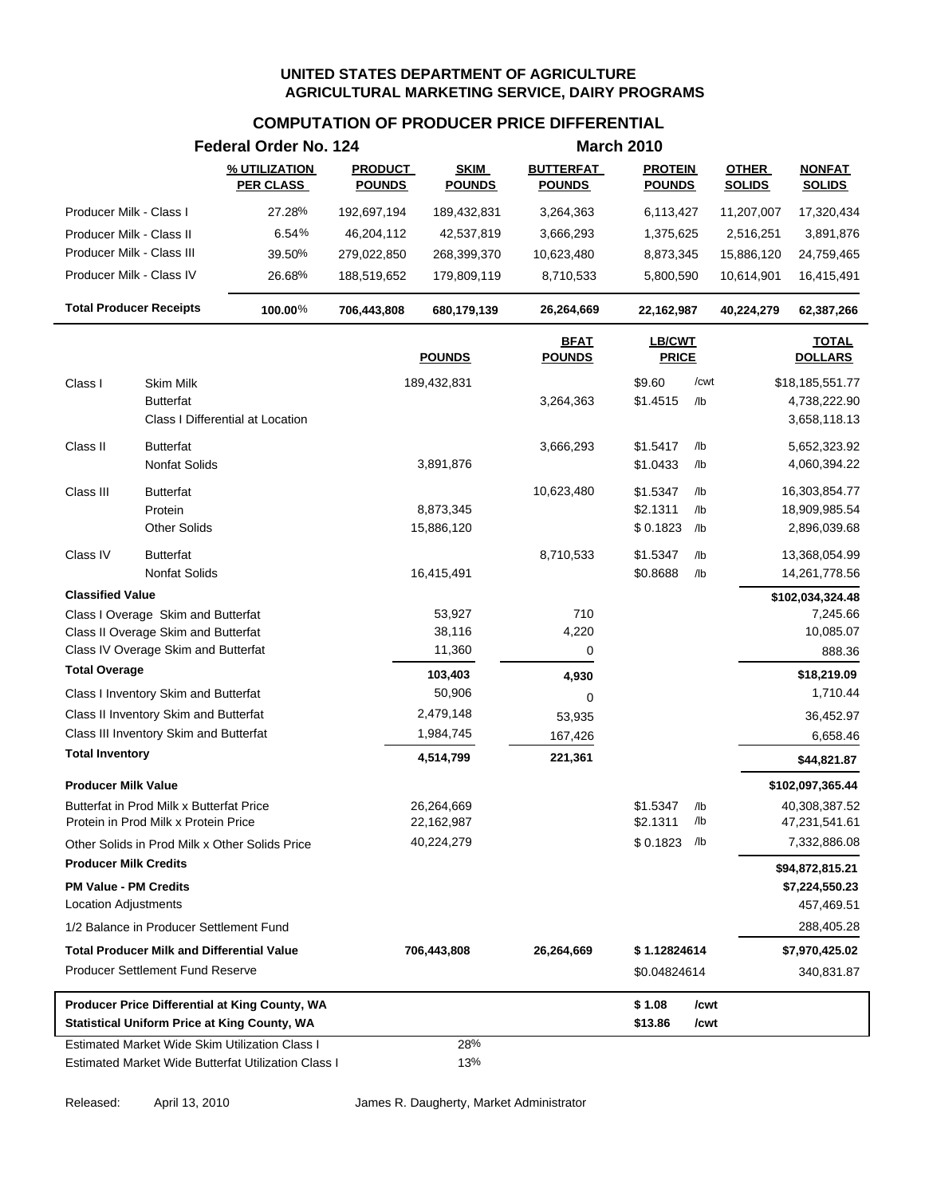# **COMPUTATION OF PRODUCER PRICE DIFFERENTIAL**

|                                                       | Federal Order No. 124             |                                 |                              |                                   | <b>March 2010</b>               |                               |                                |
|-------------------------------------------------------|-----------------------------------|---------------------------------|------------------------------|-----------------------------------|---------------------------------|-------------------------------|--------------------------------|
|                                                       | % UTILIZATION<br><b>PER CLASS</b> | <b>PRODUCT</b><br><b>POUNDS</b> | <b>SKIM</b><br><b>POUNDS</b> | <b>BUTTERFAT</b><br><u>POUNDS</u> | <b>PROTEIN</b><br><b>POUNDS</b> | <b>OTHER</b><br><b>SOLIDS</b> | <b>NONFAT</b><br><b>SOLIDS</b> |
| Producer Milk - Class I                               | 27.28%                            | 192,697,194                     | 189,432,831                  | 3,264,363                         | 6,113,427                       | 11,207,007                    | 17,320,434                     |
| Producer Milk - Class II                              | 6.54%                             | 46,204,112                      | 42,537,819                   | 3,666,293                         | 1,375,625                       | 2,516,251                     | 3,891,876                      |
| Producer Milk - Class III                             | 39.50%                            | 279,022,850                     | 268,399,370                  | 10,623,480                        | 8,873,345                       | 15,886,120                    | 24,759,465                     |
| Producer Milk - Class IV                              | 26.68%                            | 188,519,652                     | 179,809,119                  | 8,710,533                         | 5,800,590                       | 10,614,901                    | 16,415,491                     |
| <b>Total Producer Receipts</b>                        | 100.00%                           | 706,443,808                     | 680,179,139                  | 26,264,669                        | 22,162,987                      | 40,224,279                    | 62,387,266                     |
|                                                       |                                   |                                 | <b>POUNDS</b>                | <b>BFAT</b><br><b>POUNDS</b>      | LB/CWT<br><b>PRICE</b>          |                               | <b>TOTAL</b><br><b>DOLLARS</b> |
| Class I<br>Skim Milk                                  |                                   |                                 | 189,432,831                  |                                   | \$9.60                          | /cwt                          | \$18,185,551.77                |
| <b>Butterfat</b>                                      |                                   |                                 |                              | 3,264,363                         | \$1.4515                        | /lb                           | 4,738,222.90                   |
| Class I Differential at Location                      |                                   |                                 |                              |                                   |                                 |                               | 3,658,118.13                   |
| Class II<br><b>Butterfat</b>                          |                                   |                                 |                              | 3,666,293                         | \$1.5417                        | /lb                           | 5,652,323.92                   |
| <b>Nonfat Solids</b>                                  |                                   |                                 | 3,891,876                    |                                   | \$1.0433                        | /lb                           | 4,060,394.22                   |
| Class III<br><b>Butterfat</b>                         |                                   |                                 |                              | 10,623,480                        | \$1.5347                        | /lb                           | 16,303,854.77                  |
| Protein                                               |                                   |                                 | 8,873,345                    |                                   | \$2.1311                        | /lb                           | 18,909,985.54                  |
| <b>Other Solids</b>                                   |                                   |                                 | 15,886,120                   |                                   | \$0.1823                        | /lb                           | 2,896,039.68                   |
| Class IV<br><b>Butterfat</b>                          |                                   |                                 |                              | 8,710,533                         | \$1.5347                        | /lb                           | 13,368,054.99                  |
| <b>Nonfat Solids</b>                                  |                                   |                                 | 16,415,491                   |                                   | \$0.8688                        | /lb                           | 14,261,778.56                  |
| <b>Classified Value</b>                               |                                   |                                 |                              |                                   |                                 |                               | \$102,034,324.48               |
| Class I Overage Skim and Butterfat                    |                                   |                                 | 53,927                       | 710                               |                                 |                               | 7,245.66                       |
| Class II Overage Skim and Butterfat                   |                                   |                                 | 38,116                       | 4,220                             |                                 |                               | 10,085.07                      |
| Class IV Overage Skim and Butterfat                   |                                   |                                 | 11,360                       | 0                                 |                                 |                               | 888.36                         |
| <b>Total Overage</b>                                  |                                   |                                 | 103,403                      | 4,930                             |                                 |                               | \$18,219.09                    |
| Class I Inventory Skim and Butterfat                  |                                   |                                 | 50,906                       | 0                                 |                                 |                               | 1,710.44                       |
| Class II Inventory Skim and Butterfat                 |                                   |                                 | 2,479,148                    | 53,935                            |                                 |                               | 36,452.97                      |
| Class III Inventory Skim and Butterfat                |                                   |                                 | 1,984,745                    | 167,426                           |                                 |                               | 6,658.46                       |
| <b>Total Inventory</b>                                |                                   |                                 | 4,514,799                    | 221,361                           |                                 |                               | \$44,821.87                    |
| <b>Producer Milk Value</b>                            |                                   |                                 |                              |                                   |                                 |                               | \$102,097,365.44               |
| Butterfat in Prod Milk x Butterfat Price              |                                   |                                 | 26,264,669                   |                                   | \$1.5347                        |                               | 40,308,387.52                  |
| Protein in Prod Milk x Protein Price                  |                                   |                                 | 22,162,987                   |                                   | \$2.1311                        | /lb                           | 47,231,541.61                  |
| Other Solids in Prod Milk x Other Solids Price        |                                   |                                 | 40,224,279                   |                                   | $$0.1823$ /lb                   |                               | 7,332,886.08                   |
| <b>Producer Milk Credits</b>                          |                                   |                                 |                              |                                   |                                 |                               | \$94,872,815.21                |
| <b>PM Value - PM Credits</b>                          |                                   |                                 |                              |                                   |                                 |                               | \$7,224,550.23                 |
| <b>Location Adjustments</b>                           |                                   |                                 |                              |                                   |                                 |                               | 457,469.51                     |
| 1/2 Balance in Producer Settlement Fund               |                                   |                                 |                              |                                   |                                 |                               | 288,405.28                     |
| <b>Total Producer Milk and Differential Value</b>     |                                   |                                 | 706,443,808                  | 26,264,669                        | \$1.12824614                    |                               | \$7,970,425.02                 |
| <b>Producer Settlement Fund Reserve</b>               |                                   |                                 |                              |                                   | \$0.04824614                    |                               | 340,831.87                     |
| Producer Price Differential at King County, WA        |                                   |                                 |                              |                                   | \$1.08                          | /cwt                          |                                |
| <b>Statistical Uniform Price at King County, WA</b>   |                                   |                                 |                              |                                   | \$13.86                         | /cwt                          |                                |
| <b>Estimated Market Wide Skim Utilization Class I</b> |                                   |                                 | 28%                          |                                   |                                 |                               |                                |
| Estimated Market Wide Butterfat Utilization Class I   |                                   |                                 | 13%                          |                                   |                                 |                               |                                |

Released: April 13, 2010 James R. Daugherty, Market Administrator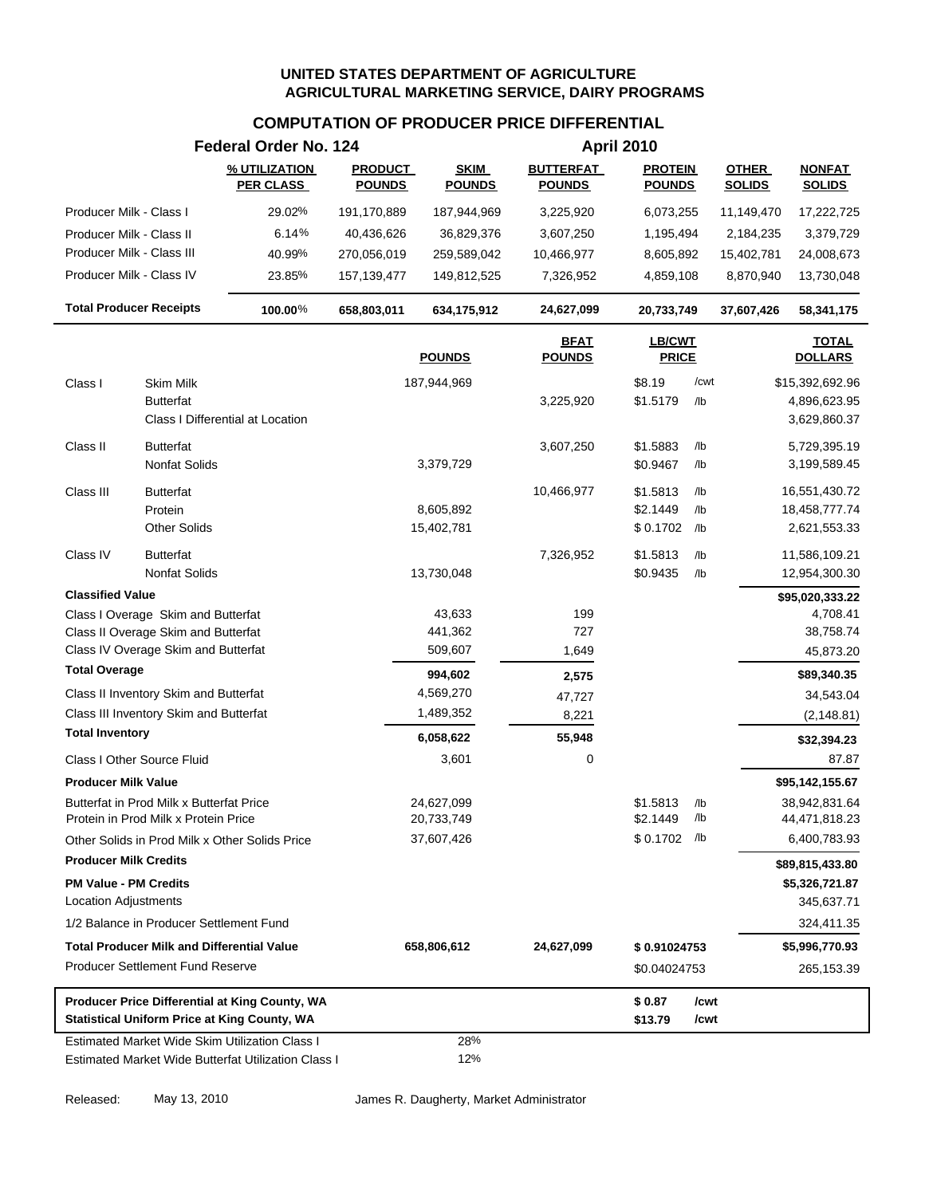# **COMPUTATION OF PRODUCER PRICE DIFFERENTIAL**

|                                                                                  | Federal Order No. 124             |                                 |                              |                                   | <b>April 2010</b>               |            |                               |                                   |  |
|----------------------------------------------------------------------------------|-----------------------------------|---------------------------------|------------------------------|-----------------------------------|---------------------------------|------------|-------------------------------|-----------------------------------|--|
|                                                                                  | % UTILIZATION<br><b>PER CLASS</b> | <b>PRODUCT</b><br><b>POUNDS</b> | <b>SKIM</b><br><b>POUNDS</b> | <b>BUTTERFAT</b><br><b>POUNDS</b> | <b>PROTEIN</b><br><b>POUNDS</b> |            | <b>OTHER</b><br><b>SOLIDS</b> | <b>NONFAT</b><br><b>SOLIDS</b>    |  |
| Producer Milk - Class I                                                          | 29.02%                            | 191,170,889                     | 187,944,969                  | 3,225,920                         | 6,073,255                       |            | 11,149,470                    | 17,222,725                        |  |
| Producer Milk - Class II                                                         | 6.14%                             | 40,436,626                      | 36,829,376                   | 3,607,250                         | 1,195,494                       |            | 2,184,235                     | 3,379,729                         |  |
| Producer Milk - Class III                                                        | 40.99%                            | 270,056,019                     | 259,589,042                  | 10,466,977                        | 8,605,892                       |            | 15,402,781                    | 24,008,673                        |  |
| Producer Milk - Class IV                                                         | 23.85%                            | 157, 139, 477                   | 149,812,525                  | 7,326,952                         | 4,859,108                       |            | 8,870,940                     | 13,730,048                        |  |
| <b>Total Producer Receipts</b>                                                   | 100.00%                           | 658,803,011                     | 634,175,912                  | 24,627,099                        | 20,733,749                      |            | 37,607,426                    | 58,341,175                        |  |
|                                                                                  |                                   |                                 | <b>POUNDS</b>                | <b>BFAT</b><br><b>POUNDS</b>      | LB/CWT<br><b>PRICE</b>          |            |                               | <b>TOTAL</b><br><b>DOLLARS</b>    |  |
| Class I<br>Skim Milk                                                             |                                   |                                 | 187,944,969                  |                                   | \$8.19                          | /cwt       |                               | \$15,392,692.96                   |  |
| <b>Butterfat</b>                                                                 |                                   |                                 |                              | 3,225,920                         | \$1.5179                        | /lb        |                               | 4,896,623.95                      |  |
| Class I Differential at Location                                                 |                                   |                                 |                              |                                   |                                 |            |                               | 3,629,860.37                      |  |
| <b>Butterfat</b><br>Class II                                                     |                                   |                                 |                              | 3,607,250                         | \$1.5883                        | /lb        |                               | 5,729,395.19                      |  |
| Nonfat Solids                                                                    |                                   |                                 | 3,379,729                    |                                   | \$0.9467                        | /lb        |                               | 3,199,589.45                      |  |
| Class III<br><b>Butterfat</b>                                                    |                                   |                                 |                              | 10,466,977                        | \$1.5813                        | /lb        |                               | 16,551,430.72                     |  |
| Protein                                                                          |                                   |                                 | 8,605,892                    |                                   | \$2.1449                        | /lb        |                               | 18,458,777.74                     |  |
| <b>Other Solids</b>                                                              |                                   |                                 | 15,402,781                   |                                   | $$0.1702$ /lb                   |            |                               | 2,621,553.33                      |  |
| <b>Butterfat</b><br>Class IV                                                     |                                   |                                 |                              | 7,326,952                         | \$1.5813                        | /lb        |                               | 11,586,109.21                     |  |
| <b>Nonfat Solids</b>                                                             |                                   |                                 | 13,730,048                   |                                   | \$0.9435                        | /lb        |                               | 12,954,300.30                     |  |
| <b>Classified Value</b>                                                          |                                   |                                 |                              |                                   |                                 |            |                               | \$95,020,333.22                   |  |
| Class I Overage Skim and Butterfat                                               |                                   |                                 | 43,633                       | 199                               |                                 |            |                               | 4,708.41                          |  |
| Class II Overage Skim and Butterfat                                              |                                   |                                 | 441,362                      | 727                               |                                 |            |                               | 38,758.74                         |  |
| Class IV Overage Skim and Butterfat                                              |                                   |                                 | 509,607                      | 1,649                             |                                 |            |                               | 45,873.20                         |  |
| <b>Total Overage</b>                                                             |                                   |                                 | 994,602                      | 2,575                             |                                 |            |                               | \$89,340.35                       |  |
| Class II Inventory Skim and Butterfat                                            |                                   |                                 | 4,569,270                    | 47,727                            |                                 |            |                               | 34,543.04                         |  |
| Class III Inventory Skim and Butterfat<br><b>Total Inventory</b>                 |                                   |                                 | 1,489,352                    | 8,221                             |                                 |            |                               | (2, 148.81)                       |  |
|                                                                                  |                                   |                                 | 6,058,622                    | 55,948                            |                                 |            |                               | \$32,394.23                       |  |
| Class I Other Source Fluid                                                       |                                   |                                 | 3,601                        | 0                                 |                                 |            |                               | 87.87                             |  |
| <b>Producer Milk Value</b>                                                       |                                   |                                 |                              |                                   |                                 |            |                               | \$95,142,155.67                   |  |
| Butterfat in Prod Milk x Butterfat Price<br>Protein in Prod Milk x Protein Price |                                   |                                 | 24,627,099<br>20,733,749     |                                   | \$1.5813<br>\$2.1449            | /lb<br>/lb |                               | 38,942,831.64<br>44,471,818.23    |  |
| Other Solids in Prod Milk x Other Solids Price                                   |                                   |                                 | 37,607,426                   |                                   | \$0.1702 /lb                    |            |                               | 6,400,783.93                      |  |
| <b>Producer Milk Credits</b>                                                     |                                   |                                 |                              |                                   |                                 |            |                               |                                   |  |
| <b>PM Value - PM Credits</b>                                                     |                                   |                                 |                              |                                   |                                 |            |                               | \$89,815,433.80<br>\$5,326,721.87 |  |
| <b>Location Adjustments</b>                                                      |                                   |                                 |                              |                                   |                                 |            |                               | 345,637.71                        |  |
| 1/2 Balance in Producer Settlement Fund                                          |                                   |                                 |                              |                                   |                                 |            |                               | 324,411.35                        |  |
| <b>Total Producer Milk and Differential Value</b>                                |                                   |                                 | 658,806,612                  | 24,627,099                        | \$0.91024753                    |            |                               | \$5,996,770.93                    |  |
| <b>Producer Settlement Fund Reserve</b>                                          |                                   |                                 |                              |                                   | \$0.04024753                    |            |                               | 265,153.39                        |  |
| Producer Price Differential at King County, WA                                   |                                   |                                 |                              |                                   | \$0.87                          | /cwt       |                               |                                   |  |
| <b>Statistical Uniform Price at King County, WA</b>                              |                                   |                                 |                              |                                   | \$13.79                         | /cwt       |                               |                                   |  |
| Estimated Market Wide Skim Utilization Class I                                   |                                   |                                 | 28%                          |                                   |                                 |            |                               |                                   |  |
| Estimated Market Wide Butterfat Utilization Class I                              |                                   |                                 | 12%                          |                                   |                                 |            |                               |                                   |  |

Released: May 13, 2010 James R. Daugherty, Market Administrator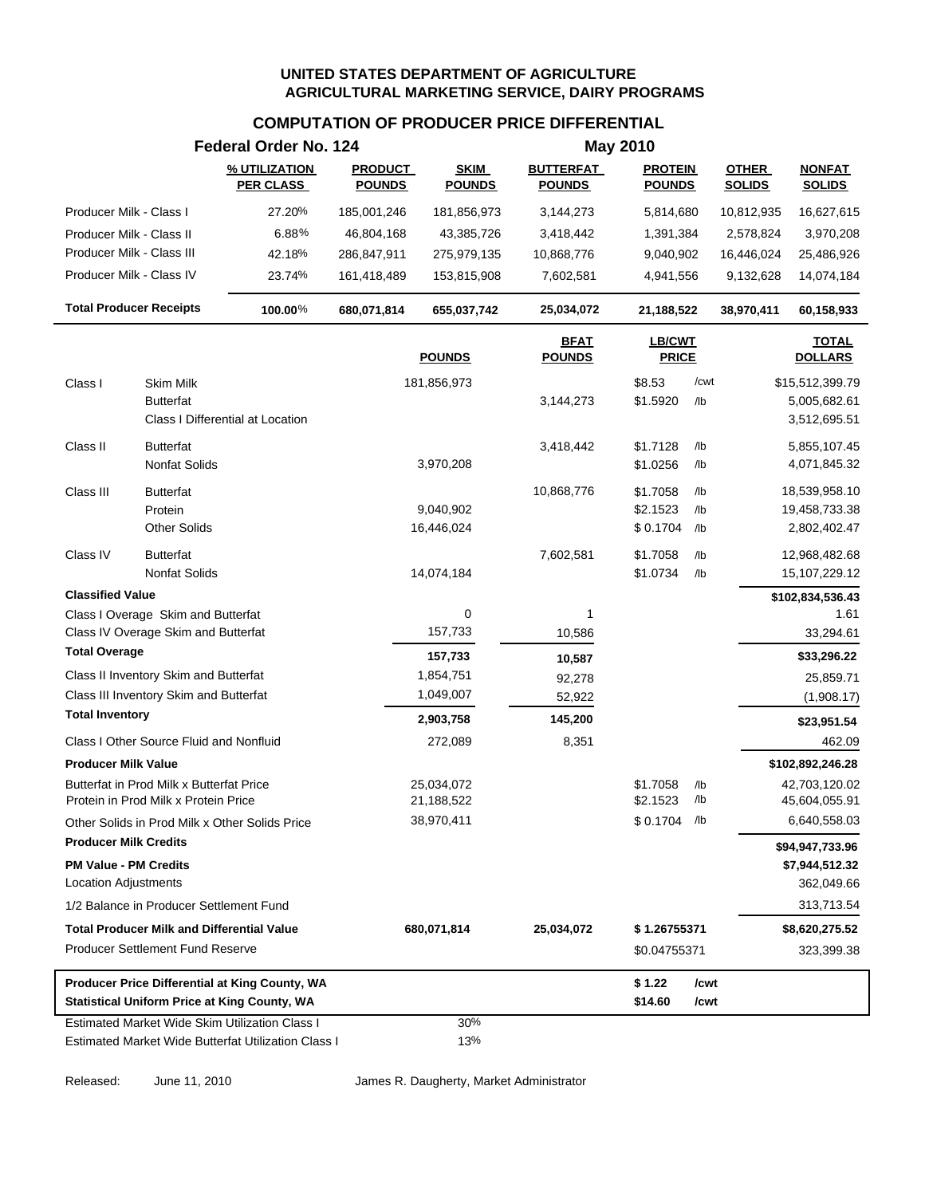#### **COMPUTATION OF PRODUCER PRICE DIFFERENTIAL**

|                                |                                                                                  | Federal Order No. 124                                                                                        |                                 |                              |                                   | <b>May 2010</b>                 |            |                               |                                |
|--------------------------------|----------------------------------------------------------------------------------|--------------------------------------------------------------------------------------------------------------|---------------------------------|------------------------------|-----------------------------------|---------------------------------|------------|-------------------------------|--------------------------------|
|                                |                                                                                  | % UTILIZATION<br><b>PER CLASS</b>                                                                            | <b>PRODUCT</b><br><b>POUNDS</b> | <b>SKIM</b><br><b>POUNDS</b> | <b>BUTTERFAT</b><br><b>POUNDS</b> | <b>PROTEIN</b><br><b>POUNDS</b> |            | <b>OTHER</b><br><b>SOLIDS</b> | <b>NONFAT</b><br><b>SOLIDS</b> |
| Producer Milk - Class I        |                                                                                  | 27.20%                                                                                                       | 185,001,246                     | 181,856,973                  | 3,144,273                         | 5,814,680                       |            | 10,812,935                    | 16,627,615                     |
| Producer Milk - Class II       |                                                                                  | 6.88%                                                                                                        | 46,804,168                      | 43,385,726                   | 3,418,442                         | 1,391,384                       |            | 2,578,824                     | 3,970,208                      |
| Producer Milk - Class III      |                                                                                  | 42.18%                                                                                                       | 286,847,911                     | 275,979,135                  | 10,868,776                        | 9,040,902                       |            | 16,446,024                    | 25,486,926                     |
| Producer Milk - Class IV       |                                                                                  | 23.74%                                                                                                       | 161,418,489                     | 153,815,908                  | 7,602,581                         | 4,941,556                       |            | 9,132,628                     | 14,074,184                     |
| <b>Total Producer Receipts</b> |                                                                                  | 100.00%                                                                                                      | 680,071,814                     | 655,037,742                  | 25,034,072                        | 21,188,522                      |            | 38,970,411                    | 60,158,933                     |
|                                |                                                                                  |                                                                                                              |                                 | <b>POUNDS</b>                | <b>BFAT</b><br><b>POUNDS</b>      | LB/CWT<br><b>PRICE</b>          |            |                               | <b>TOTAL</b><br><b>DOLLARS</b> |
| Class I                        | <b>Skim Milk</b>                                                                 |                                                                                                              |                                 | 181,856,973                  |                                   | \$8.53                          | /cwt       |                               | \$15,512,399.79                |
|                                | <b>Butterfat</b>                                                                 | Class I Differential at Location                                                                             |                                 |                              | 3,144,273                         | \$1.5920                        | /lb        |                               | 5,005,682.61<br>3,512,695.51   |
| Class II                       | <b>Butterfat</b>                                                                 |                                                                                                              |                                 |                              | 3,418,442                         | \$1.7128                        | /lb        |                               | 5,855,107.45                   |
|                                | <b>Nonfat Solids</b>                                                             |                                                                                                              |                                 | 3,970,208                    |                                   | \$1.0256                        | /lb        |                               | 4,071,845.32                   |
| Class III                      | <b>Butterfat</b>                                                                 |                                                                                                              |                                 |                              | 10,868,776                        | \$1.7058                        | /lb        |                               | 18,539,958.10                  |
|                                | Protein                                                                          |                                                                                                              |                                 | 9,040,902                    |                                   | \$2.1523                        | /lb        |                               | 19,458,733.38                  |
|                                | <b>Other Solids</b>                                                              |                                                                                                              |                                 | 16,446,024                   |                                   | \$0.1704                        | /lb        |                               | 2,802,402.47                   |
| Class IV                       | <b>Butterfat</b>                                                                 |                                                                                                              |                                 |                              | 7,602,581                         | \$1.7058                        | /lb        |                               | 12,968,482.68                  |
|                                | <b>Nonfat Solids</b>                                                             |                                                                                                              |                                 | 14,074,184                   |                                   | \$1.0734                        | $/$ lb     |                               | 15,107,229.12                  |
| <b>Classified Value</b>        |                                                                                  |                                                                                                              |                                 |                              |                                   |                                 |            |                               | \$102,834,536.43               |
|                                | Class I Overage Skim and Butterfat                                               |                                                                                                              |                                 | 0                            | 1                                 |                                 |            |                               | 1.61                           |
|                                | Class IV Overage Skim and Butterfat                                              |                                                                                                              |                                 | 157,733                      | 10,586                            |                                 |            |                               | 33,294.61                      |
| <b>Total Overage</b>           |                                                                                  |                                                                                                              |                                 | 157,733                      | 10,587                            |                                 |            |                               | \$33,296.22                    |
|                                | Class II Inventory Skim and Butterfat                                            |                                                                                                              |                                 | 1,854,751                    | 92,278                            |                                 |            |                               | 25,859.71                      |
| <b>Total Inventory</b>         | Class III Inventory Skim and Butterfat                                           |                                                                                                              |                                 | 1,049,007                    | 52,922                            |                                 |            |                               | (1,908.17)                     |
|                                |                                                                                  |                                                                                                              |                                 | 2,903,758                    | 145,200                           |                                 |            |                               | \$23,951.54                    |
|                                | Class I Other Source Fluid and Nonfluid                                          |                                                                                                              |                                 | 272,089                      | 8,351                             |                                 |            |                               | 462.09                         |
| <b>Producer Milk Value</b>     |                                                                                  |                                                                                                              |                                 |                              |                                   |                                 |            |                               | \$102,892,246.28               |
|                                | Butterfat in Prod Milk x Butterfat Price<br>Protein in Prod Milk x Protein Price |                                                                                                              |                                 | 25,034,072<br>21,188,522     |                                   | \$1.7058<br>\$2.1523            | /lb<br>/lb |                               | 42,703,120.02<br>45,604,055.91 |
|                                |                                                                                  | Other Solids in Prod Milk x Other Solids Price                                                               |                                 | 38,970,411                   |                                   | $$0.1704$ /lb                   |            |                               | 6,640,558.03                   |
| <b>Producer Milk Credits</b>   |                                                                                  |                                                                                                              |                                 |                              |                                   |                                 |            |                               | \$94,947,733.96                |
| <b>PM Value - PM Credits</b>   |                                                                                  |                                                                                                              |                                 |                              |                                   |                                 |            |                               | \$7,944,512.32                 |
| <b>Location Adjustments</b>    |                                                                                  |                                                                                                              |                                 |                              |                                   |                                 |            |                               | 362,049.66                     |
|                                | 1/2 Balance in Producer Settlement Fund                                          |                                                                                                              |                                 |                              |                                   |                                 |            |                               | 313,713.54                     |
|                                | <b>Total Producer Milk and Differential Value</b>                                |                                                                                                              |                                 | 680,071,814                  | 25,034,072                        | \$1.26755371                    |            |                               | \$8,620,275.52                 |
|                                | <b>Producer Settlement Fund Reserve</b>                                          |                                                                                                              |                                 |                              |                                   | \$0.04755371                    |            |                               | 323,399.38                     |
|                                |                                                                                  | Producer Price Differential at King County, WA                                                               |                                 |                              |                                   | \$1.22<br>\$14.60               | /cwt       |                               |                                |
|                                |                                                                                  | <b>Statistical Uniform Price at King County, WA</b><br><b>Estimated Market Wide Skim Utilization Class I</b> |                                 |                              |                                   |                                 | /cwt       |                               |                                |
|                                |                                                                                  | Estimated Market Wide Butterfat Utilization Class I                                                          |                                 | 30%<br>13%                   |                                   |                                 |            |                               |                                |

Released: June 11, 2010 James R. Daugherty, Market Administrator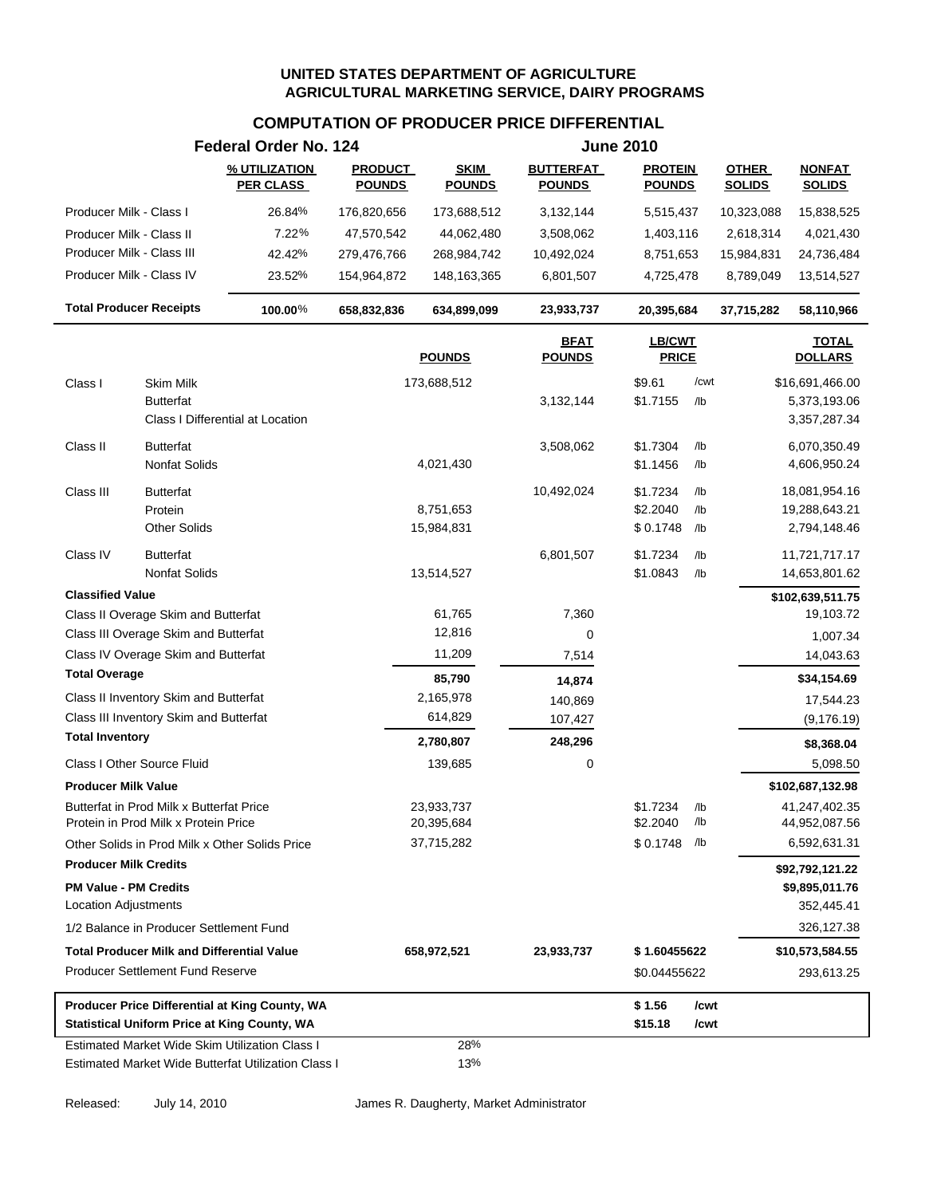# **COMPUTATION OF PRODUCER PRICE DIFFERENTIAL**

|                                                       | Federal Order No. 124             |                                 |                              |                                   | <b>June 2010</b>                |      |                               |                                |  |
|-------------------------------------------------------|-----------------------------------|---------------------------------|------------------------------|-----------------------------------|---------------------------------|------|-------------------------------|--------------------------------|--|
|                                                       | % UTILIZATION<br><b>PER CLASS</b> | <b>PRODUCT</b><br><b>POUNDS</b> | <b>SKIM</b><br><b>POUNDS</b> | <b>BUTTERFAT</b><br><b>POUNDS</b> | <b>PROTEIN</b><br><b>POUNDS</b> |      | <b>OTHER</b><br><b>SOLIDS</b> | <b>NONFAT</b><br><b>SOLIDS</b> |  |
| Producer Milk - Class I                               | 26.84%                            | 176,820,656                     | 173,688,512                  | 3,132,144                         | 5,515,437                       |      | 10,323,088                    | 15,838,525                     |  |
| Producer Milk - Class II                              | 7.22%                             | 47,570,542                      | 44,062,480                   | 3,508,062                         | 1,403,116                       |      | 2,618,314                     | 4,021,430                      |  |
| Producer Milk - Class III                             | 42.42%                            | 279,476,766                     | 268,984,742                  | 10,492,024                        | 8,751,653                       |      | 15,984,831                    | 24,736,484                     |  |
| Producer Milk - Class IV                              | 23.52%                            | 154,964,872                     | 148, 163, 365                | 6,801,507                         | 4,725,478                       |      | 8,789,049                     | 13,514,527                     |  |
| <b>Total Producer Receipts</b>                        | 100.00%                           | 658,832,836                     | 634,899,099                  | 23,933,737                        | 20,395,684                      |      | 37,715,282                    | 58,110,966                     |  |
|                                                       |                                   |                                 | <b>POUNDS</b>                | <b>BFAT</b><br><b>POUNDS</b>      | LB/CWT<br><b>PRICE</b>          |      |                               | <b>TOTAL</b><br><b>DOLLARS</b> |  |
| Class I<br>Skim Milk                                  |                                   |                                 | 173,688,512                  |                                   | \$9.61                          | /cwt |                               | \$16,691,466.00                |  |
| <b>Butterfat</b>                                      |                                   |                                 |                              | 3,132,144                         | \$1.7155                        | /lb  |                               | 5,373,193.06                   |  |
|                                                       | Class I Differential at Location  |                                 |                              |                                   |                                 |      |                               | 3,357,287.34                   |  |
| <b>Butterfat</b><br>Class II                          |                                   |                                 |                              | 3,508,062                         | \$1.7304                        | /lb  |                               | 6,070,350.49                   |  |
| <b>Nonfat Solids</b>                                  |                                   |                                 | 4,021,430                    |                                   | \$1.1456                        | /lb  |                               | 4,606,950.24                   |  |
| Class III<br><b>Butterfat</b>                         |                                   |                                 |                              | 10,492,024                        | \$1.7234                        | /lb  |                               | 18,081,954.16                  |  |
| Protein                                               |                                   |                                 | 8,751,653                    |                                   | \$2.2040                        | /lb  |                               | 19,288,643.21                  |  |
| <b>Other Solids</b>                                   |                                   |                                 | 15,984,831                   |                                   | \$0.1748                        | /lb  |                               | 2,794,148.46                   |  |
| Class IV<br><b>Butterfat</b>                          |                                   |                                 |                              | 6,801,507                         | \$1.7234                        | /lb  |                               | 11,721,717.17                  |  |
| <b>Nonfat Solids</b>                                  |                                   |                                 | 13,514,527                   |                                   | \$1.0843                        | /lb  |                               | 14,653,801.62                  |  |
| <b>Classified Value</b>                               |                                   |                                 |                              |                                   |                                 |      |                               | \$102,639,511.75               |  |
| Class II Overage Skim and Butterfat                   |                                   |                                 | 61,765                       | 7,360                             |                                 |      |                               | 19,103.72                      |  |
| Class III Overage Skim and Butterfat                  |                                   |                                 | 12,816                       | 0                                 |                                 |      |                               | 1,007.34                       |  |
| Class IV Overage Skim and Butterfat                   |                                   |                                 | 11,209                       | 7,514                             |                                 |      |                               | 14,043.63                      |  |
| <b>Total Overage</b>                                  |                                   |                                 | 85,790                       | 14,874                            |                                 |      |                               | \$34,154.69                    |  |
| Class II Inventory Skim and Butterfat                 |                                   |                                 | 2,165,978                    | 140,869                           |                                 |      |                               | 17,544.23                      |  |
| Class III Inventory Skim and Butterfat                |                                   |                                 | 614,829                      | 107,427                           |                                 |      |                               | (9, 176.19)                    |  |
| <b>Total Inventory</b>                                |                                   |                                 | 2,780,807                    | 248,296                           |                                 |      |                               | \$8,368.04                     |  |
| Class I Other Source Fluid                            |                                   |                                 | 139,685                      | 0                                 |                                 |      |                               | 5,098.50                       |  |
| <b>Producer Milk Value</b>                            |                                   |                                 |                              |                                   |                                 |      |                               | \$102,687,132.98               |  |
| Butterfat in Prod Milk x Butterfat Price              |                                   |                                 | 23,933,737                   |                                   | \$1.7234                        | /lb  |                               | 41,247,402.35                  |  |
| Protein in Prod Milk x Protein Price                  |                                   |                                 | 20,395,684                   |                                   | \$2.2040                        | /lb  |                               | 44,952,087.56                  |  |
| Other Solids in Prod Milk x Other Solids Price        |                                   |                                 | 37,715,282                   |                                   | \$0.1748                        | /lb  |                               | 6,592,631.31                   |  |
| <b>Producer Milk Credits</b>                          |                                   |                                 |                              |                                   |                                 |      |                               | \$92,792,121.22                |  |
| <b>PM Value - PM Credits</b>                          |                                   |                                 |                              |                                   |                                 |      |                               | \$9,895,011.76                 |  |
| <b>Location Adjustments</b>                           |                                   |                                 |                              |                                   |                                 |      |                               | 352,445.41                     |  |
| 1/2 Balance in Producer Settlement Fund               |                                   |                                 |                              |                                   |                                 |      |                               | 326,127.38                     |  |
| <b>Total Producer Milk and Differential Value</b>     |                                   |                                 | 658,972,521                  | 23,933,737                        | \$1.60455622                    |      |                               | \$10,573,584.55                |  |
| <b>Producer Settlement Fund Reserve</b>               |                                   |                                 |                              |                                   | \$0.04455622                    |      |                               | 293,613.25                     |  |
| Producer Price Differential at King County, WA        |                                   |                                 |                              |                                   | \$1.56                          | /cwt |                               |                                |  |
| <b>Statistical Uniform Price at King County, WA</b>   |                                   |                                 |                              |                                   | \$15.18                         | /cwt |                               |                                |  |
| <b>Estimated Market Wide Skim Utilization Class I</b> |                                   |                                 | 28%                          |                                   |                                 |      |                               |                                |  |
| Estimated Market Wide Butterfat Utilization Class I   |                                   |                                 | 13%                          |                                   |                                 |      |                               |                                |  |

Released: July 14, 2010 James R. Daugherty, Market Administrator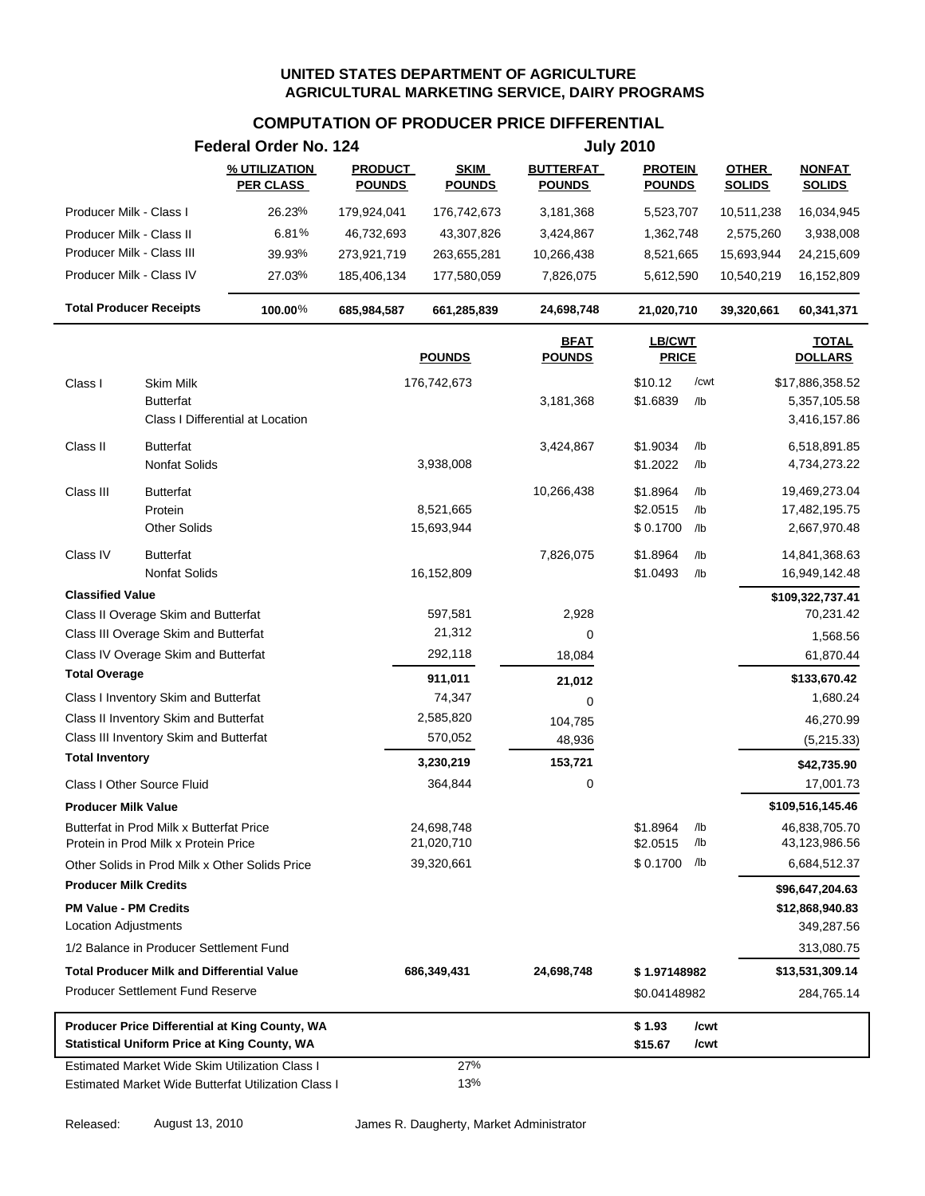# **COMPUTATION OF PRODUCER PRICE DIFFERENTIAL**

|                                                                                             |                                                                                  | Federal Order No. 124                                                                                        |                                 |                              |                                   | <b>July 2010</b>                 |                   |                               |                                                  |  |
|---------------------------------------------------------------------------------------------|----------------------------------------------------------------------------------|--------------------------------------------------------------------------------------------------------------|---------------------------------|------------------------------|-----------------------------------|----------------------------------|-------------------|-------------------------------|--------------------------------------------------|--|
|                                                                                             |                                                                                  | % UTILIZATION<br><b>PER CLASS</b>                                                                            | <b>PRODUCT</b><br><b>POUNDS</b> | <b>SKIM</b><br><b>POUNDS</b> | <b>BUTTERFAT</b><br><b>POUNDS</b> | <b>PROTEIN</b><br><b>POUNDS</b>  |                   | <b>OTHER</b><br><b>SOLIDS</b> | <b>NONFAT</b><br><b>SOLIDS</b>                   |  |
| Producer Milk - Class I                                                                     |                                                                                  | 26.23%                                                                                                       | 179,924,041                     | 176,742,673                  | 3,181,368                         | 5,523,707                        |                   | 10,511,238                    | 16,034,945                                       |  |
| Producer Milk - Class II                                                                    |                                                                                  | 6.81%                                                                                                        | 46,732,693                      | 43,307,826                   | 3,424,867                         | 1,362,748                        |                   | 2,575,260                     | 3,938,008                                        |  |
| Producer Milk - Class III                                                                   |                                                                                  | 39.93%                                                                                                       | 273,921,719                     | 263,655,281                  | 10,266,438                        | 8,521,665                        |                   | 15,693,944                    | 24,215,609                                       |  |
| Producer Milk - Class IV                                                                    |                                                                                  | 27.03%                                                                                                       | 185,406,134                     | 177,580,059                  | 7,826,075                         | 5,612,590                        |                   | 10,540,219                    | 16,152,809                                       |  |
|                                                                                             | <b>Total Producer Receipts</b>                                                   | 100.00%                                                                                                      | 685,984,587                     | 661,285,839                  | 24,698,748                        | 21,020,710                       |                   | 39,320,661                    | 60,341,371                                       |  |
|                                                                                             |                                                                                  |                                                                                                              |                                 | <b>POUNDS</b>                | <b>BFAT</b><br><b>POUNDS</b>      | LB/CWT<br><b>PRICE</b>           |                   |                               | <b>TOTAL</b><br><b>DOLLARS</b>                   |  |
| Class I                                                                                     | <b>Skim Milk</b><br><b>Butterfat</b>                                             | Class I Differential at Location                                                                             |                                 | 176,742,673                  | 3,181,368                         | \$10.12<br>\$1.6839              | /cwt<br>/lb       |                               | \$17,886,358.52<br>5,357,105.58<br>3,416,157.86  |  |
| Class II                                                                                    | <b>Butterfat</b><br>Nonfat Solids                                                |                                                                                                              |                                 | 3,938,008                    | 3,424,867                         | \$1.9034<br>\$1.2022             | $/$ lb<br>/lb     |                               | 6,518,891.85<br>4,734,273.22                     |  |
| Class III                                                                                   | <b>Butterfat</b><br>Protein<br><b>Other Solids</b>                               |                                                                                                              |                                 | 8,521,665<br>15,693,944      | 10,266,438                        | \$1.8964<br>\$2.0515<br>\$0.1700 | /lb<br>/lb<br>/lb |                               | 19,469,273.04<br>17,482,195.75<br>2,667,970.48   |  |
| Class IV                                                                                    | <b>Butterfat</b><br>Nonfat Solids                                                |                                                                                                              |                                 | 16,152,809                   | 7,826,075                         | \$1.8964<br>\$1.0493             | /lb<br>/lb        |                               | 14,841,368.63<br>16,949,142.48                   |  |
| <b>Classified Value</b>                                                                     |                                                                                  |                                                                                                              |                                 |                              |                                   |                                  |                   |                               | \$109,322,737.41                                 |  |
|                                                                                             | Class II Overage Skim and Butterfat                                              |                                                                                                              |                                 | 597,581                      | 2,928                             |                                  |                   |                               | 70,231.42                                        |  |
|                                                                                             | Class III Overage Skim and Butterfat                                             |                                                                                                              |                                 | 21,312                       | 0                                 |                                  |                   |                               | 1,568.56                                         |  |
|                                                                                             | Class IV Overage Skim and Butterfat                                              |                                                                                                              |                                 | 292,118                      | 18,084                            |                                  |                   |                               | 61,870.44                                        |  |
| <b>Total Overage</b>                                                                        |                                                                                  |                                                                                                              |                                 | 911,011                      | 21,012                            |                                  |                   |                               | \$133,670.42                                     |  |
|                                                                                             | Class I Inventory Skim and Butterfat                                             |                                                                                                              |                                 | 74,347                       | 0                                 |                                  |                   |                               | 1,680.24                                         |  |
|                                                                                             | Class II Inventory Skim and Butterfat                                            |                                                                                                              |                                 | 2,585,820                    | 104,785                           |                                  |                   |                               | 46,270.99                                        |  |
|                                                                                             | Class III Inventory Skim and Butterfat                                           |                                                                                                              |                                 | 570,052                      | 48,936                            |                                  |                   |                               | (5,215.33)                                       |  |
| <b>Total Inventory</b>                                                                      |                                                                                  |                                                                                                              |                                 | 3,230,219                    | 153,721                           |                                  |                   |                               | \$42,735.90                                      |  |
|                                                                                             | Class I Other Source Fluid                                                       |                                                                                                              |                                 | 364,844                      | 0                                 |                                  |                   |                               | 17,001.73                                        |  |
| <b>Producer Milk Value</b>                                                                  |                                                                                  |                                                                                                              |                                 |                              |                                   |                                  |                   |                               | \$109,516,145.46                                 |  |
|                                                                                             | Butterfat in Prod Milk x Butterfat Price<br>Protein in Prod Milk x Protein Price |                                                                                                              |                                 | 24,698,748<br>21,020,710     |                                   | \$1.8964<br>\$2.0515             | /lb<br>/lb        |                               | 46,838,705.70<br>43,123,986.56                   |  |
|                                                                                             |                                                                                  | Other Solids in Prod Milk x Other Solids Price                                                               |                                 | 39,320,661                   |                                   | \$0.1700 /lb                     |                   |                               | 6,684,512.37                                     |  |
| <b>Producer Milk Credits</b><br><b>PM Value - PM Credits</b><br><b>Location Adjustments</b> |                                                                                  |                                                                                                              |                                 |                              |                                   |                                  |                   |                               | \$96,647,204.63<br>\$12,868,940.83<br>349,287.56 |  |
|                                                                                             | 1/2 Balance in Producer Settlement Fund                                          |                                                                                                              |                                 |                              |                                   |                                  |                   |                               | 313,080.75                                       |  |
|                                                                                             | <b>Total Producer Milk and Differential Value</b>                                |                                                                                                              |                                 | 686,349,431                  | 24,698,748                        | \$1.97148982                     |                   |                               | \$13,531,309.14                                  |  |
|                                                                                             | <b>Producer Settlement Fund Reserve</b>                                          |                                                                                                              |                                 |                              |                                   | \$0.04148982                     |                   |                               | 284,765.14                                       |  |
|                                                                                             |                                                                                  | Producer Price Differential at King County, WA<br><b>Statistical Uniform Price at King County, WA</b>        |                                 |                              |                                   | \$1.93<br>\$15.67                | /cwt<br>/cwt      |                               |                                                  |  |
|                                                                                             |                                                                                  | <b>Estimated Market Wide Skim Utilization Class I</b><br>Estimated Market Wide Butterfat Utilization Class I |                                 | 27%<br>13%                   |                                   |                                  |                   |                               |                                                  |  |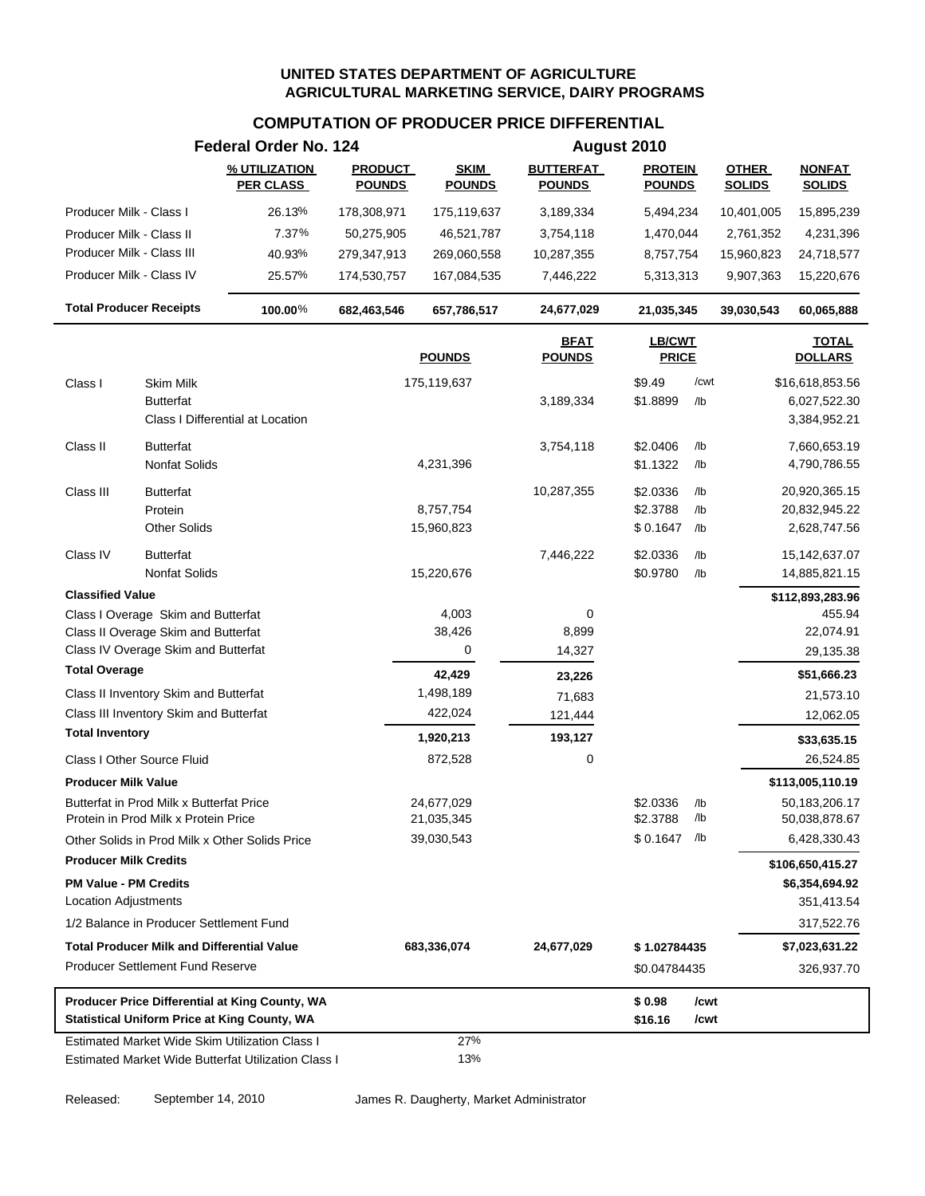# **COMPUTATION OF PRODUCER PRICE DIFFERENTIAL**

|                                                                                  | Federal Order No. 124             |                                 | August 2010                  |                                   |                                 |            |                               |                                |
|----------------------------------------------------------------------------------|-----------------------------------|---------------------------------|------------------------------|-----------------------------------|---------------------------------|------------|-------------------------------|--------------------------------|
|                                                                                  | % UTILIZATION<br><b>PER CLASS</b> | <b>PRODUCT</b><br><b>POUNDS</b> | <b>SKIM</b><br><b>POUNDS</b> | <b>BUTTERFAT</b><br><b>POUNDS</b> | <b>PROTEIN</b><br><b>POUNDS</b> |            | <b>OTHER</b><br><b>SOLIDS</b> | <b>NONFAT</b><br><b>SOLIDS</b> |
| Producer Milk - Class I                                                          | 26.13%                            | 178,308,971                     | 175,119,637                  | 3,189,334                         | 5,494,234                       |            | 10,401,005                    | 15,895,239                     |
| Producer Milk - Class II                                                         | 7.37%                             | 50,275,905                      | 46,521,787                   | 3,754,118                         | 1,470,044                       |            | 2,761,352                     | 4,231,396                      |
| Producer Milk - Class III                                                        | 40.93%                            | 279,347,913                     | 269,060,558                  | 10,287,355                        | 8,757,754                       |            | 15,960,823                    | 24,718,577                     |
| Producer Milk - Class IV                                                         | 25.57%                            | 174,530,757                     | 167,084,535                  | 7,446,222                         | 5,313,313                       |            | 9,907,363                     | 15,220,676                     |
| <b>Total Producer Receipts</b>                                                   | 100.00%                           | 682,463,546                     | 657,786,517                  | 24,677,029                        | 21,035,345                      |            | 39,030,543                    | 60,065,888                     |
|                                                                                  |                                   |                                 | <b>POUNDS</b>                | <b>BFAT</b><br><b>POUNDS</b>      | LB/CWT<br><b>PRICE</b>          |            |                               | <b>TOTAL</b><br><b>DOLLARS</b> |
| Class I<br>Skim Milk                                                             |                                   |                                 | 175,119,637                  |                                   | \$9.49                          | /cwt       |                               | \$16,618,853.56                |
| <b>Butterfat</b>                                                                 |                                   |                                 |                              | 3,189,334                         | \$1.8899                        | /lb        |                               | 6,027,522.30                   |
| Class I Differential at Location                                                 |                                   |                                 |                              |                                   |                                 |            |                               | 3,384,952.21                   |
| <b>Butterfat</b><br>Class II                                                     |                                   |                                 |                              | 3,754,118                         | \$2.0406                        | /lb        |                               | 7,660,653.19                   |
| <b>Nonfat Solids</b>                                                             |                                   |                                 | 4,231,396                    |                                   | \$1.1322                        | /lb        |                               | 4,790,786.55                   |
| Class III<br><b>Butterfat</b>                                                    |                                   |                                 |                              | 10,287,355                        | \$2.0336                        | /lb        |                               | 20,920,365.15                  |
| Protein                                                                          |                                   |                                 | 8,757,754                    |                                   | \$2.3788                        | /lb        |                               | 20,832,945.22                  |
| <b>Other Solids</b>                                                              |                                   |                                 | 15,960,823                   |                                   | \$0.1647                        | /lb        |                               | 2,628,747.56                   |
| Class IV<br><b>Butterfat</b>                                                     |                                   |                                 |                              | 7,446,222                         | \$2.0336                        | /lb        |                               | 15, 142, 637.07                |
| <b>Nonfat Solids</b>                                                             |                                   |                                 | 15,220,676                   |                                   | \$0.9780                        | /lb        |                               | 14,885,821.15                  |
| <b>Classified Value</b>                                                          |                                   |                                 |                              |                                   |                                 |            |                               | \$112,893,283.96               |
| Class I Overage Skim and Butterfat                                               |                                   |                                 | 4,003                        | 0                                 |                                 |            |                               | 455.94                         |
| Class II Overage Skim and Butterfat                                              |                                   |                                 | 38,426                       | 8,899                             |                                 |            |                               | 22,074.91                      |
| Class IV Overage Skim and Butterfat                                              |                                   |                                 | 0                            | 14,327                            |                                 |            |                               | 29,135.38                      |
| <b>Total Overage</b>                                                             |                                   |                                 | 42,429                       | 23,226                            |                                 |            |                               | \$51,666.23                    |
| Class II Inventory Skim and Butterfat                                            |                                   |                                 | 1,498,189                    | 71,683                            |                                 |            |                               | 21,573.10                      |
| Class III Inventory Skim and Butterfat<br><b>Total Inventory</b>                 |                                   |                                 | 422,024                      | 121,444                           |                                 |            |                               | 12,062.05                      |
|                                                                                  |                                   |                                 | 1,920,213                    | 193,127                           |                                 |            |                               | \$33,635.15                    |
| Class I Other Source Fluid                                                       |                                   |                                 | 872,528                      | 0                                 |                                 |            |                               | 26,524.85                      |
| <b>Producer Milk Value</b>                                                       |                                   |                                 |                              |                                   |                                 |            |                               | \$113,005,110.19               |
| Butterfat in Prod Milk x Butterfat Price<br>Protein in Prod Milk x Protein Price |                                   |                                 | 24,677,029<br>21,035,345     |                                   | \$2.0336<br>\$2.3788            | /lb<br>/lb |                               | 50,183,206.17<br>50,038,878.67 |
| Other Solids in Prod Milk x Other Solids Price                                   |                                   |                                 | 39,030,543                   |                                   | $$0.1647$ /lb                   |            |                               | 6,428,330.43                   |
| <b>Producer Milk Credits</b>                                                     |                                   |                                 |                              |                                   |                                 |            |                               | \$106,650,415.27               |
| <b>PM Value - PM Credits</b>                                                     |                                   |                                 |                              |                                   |                                 |            |                               | \$6,354,694.92                 |
| Location Adjustments                                                             |                                   |                                 |                              |                                   |                                 |            |                               | 351,413.54                     |
| 1/2 Balance in Producer Settlement Fund                                          |                                   |                                 |                              |                                   |                                 |            |                               | 317,522.76                     |
| <b>Total Producer Milk and Differential Value</b>                                |                                   |                                 | 683,336,074                  | 24,677,029                        | \$1.02784435                    |            |                               | \$7,023,631.22                 |
| <b>Producer Settlement Fund Reserve</b>                                          |                                   |                                 |                              |                                   | \$0.04784435                    |            |                               | 326,937.70                     |
| Producer Price Differential at King County, WA                                   |                                   |                                 |                              |                                   | \$0.98                          | /cwt       |                               |                                |
| <b>Statistical Uniform Price at King County, WA</b>                              |                                   |                                 |                              |                                   | \$16.16                         | /cwt       |                               |                                |
| <b>Estimated Market Wide Skim Utilization Class I</b>                            |                                   |                                 | 27%                          |                                   |                                 |            |                               |                                |
| Estimated Market Wide Butterfat Utilization Class I                              |                                   |                                 | 13%                          |                                   |                                 |            |                               |                                |

Released: September 14, 2010 James R. Daugherty, Market Administrator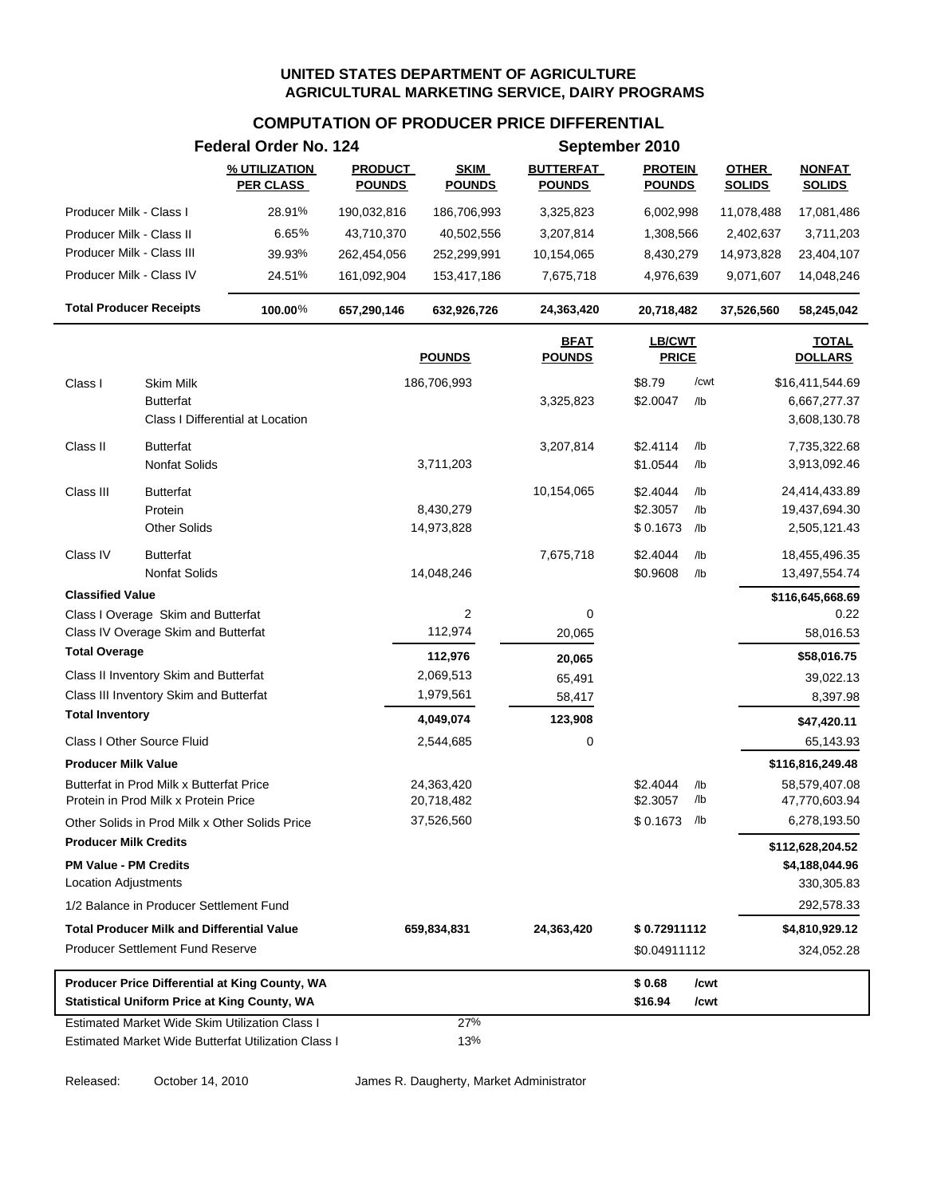#### **COMPUTATION OF PRODUCER PRICE DIFFERENTIAL**

|                                                                                                       | Federal Order No. 124             |                                 |                              |                                   | September 2010                  |               |                               |                                |  |
|-------------------------------------------------------------------------------------------------------|-----------------------------------|---------------------------------|------------------------------|-----------------------------------|---------------------------------|---------------|-------------------------------|--------------------------------|--|
|                                                                                                       | % UTILIZATION<br><b>PER CLASS</b> | <b>PRODUCT</b><br><b>POUNDS</b> | <b>SKIM</b><br><b>POUNDS</b> | <b>BUTTERFAT</b><br><b>POUNDS</b> | <b>PROTEIN</b><br><b>POUNDS</b> |               | <b>OTHER</b><br><b>SOLIDS</b> | <b>NONFAT</b><br><b>SOLIDS</b> |  |
| Producer Milk - Class I                                                                               | 28.91%                            | 190,032,816                     | 186,706,993                  | 3,325,823                         | 6,002,998                       |               | 11,078,488                    | 17,081,486                     |  |
| Producer Milk - Class II                                                                              | 6.65%                             | 43,710,370                      | 40,502,556                   | 3,207,814                         | 1,308,566                       |               | 2,402,637                     | 3,711,203                      |  |
| Producer Milk - Class III                                                                             | 39.93%                            | 262,454,056                     | 252,299,991                  | 10,154,065                        | 8,430,279                       |               | 14,973,828                    | 23,404,107                     |  |
| Producer Milk - Class IV                                                                              | 24.51%                            | 161,092,904                     | 153,417,186                  | 7,675,718                         | 4,976,639                       |               | 9,071,607                     | 14,048,246                     |  |
| <b>Total Producer Receipts</b>                                                                        | 100.00%                           | 657,290,146                     | 632,926,726                  | 24,363,420                        | 20,718,482                      |               | 37,526,560                    | 58,245,042                     |  |
|                                                                                                       |                                   |                                 | <b>POUNDS</b>                | <b>BFAT</b><br><b>POUNDS</b>      | LB/CWT<br><b>PRICE</b>          |               |                               | <b>TOTAL</b><br><b>DOLLARS</b> |  |
| <b>Skim Milk</b><br>Class I                                                                           |                                   |                                 | 186,706,993                  |                                   | \$8.79                          | /cwt          |                               | \$16,411,544.69                |  |
| <b>Butterfat</b>                                                                                      |                                   |                                 |                              | 3,325,823                         | \$2.0047                        | /lb           |                               | 6,667,277.37                   |  |
| Class I Differential at Location                                                                      |                                   |                                 |                              |                                   |                                 |               |                               | 3,608,130.78                   |  |
| <b>Butterfat</b><br>Class II                                                                          |                                   |                                 |                              | 3,207,814                         | \$2.4114                        | $/$ lb        |                               | 7,735,322.68                   |  |
| Nonfat Solids                                                                                         |                                   |                                 | 3,711,203                    |                                   | \$1.0544                        | /lb           |                               | 3,913,092.46                   |  |
| Class III<br><b>Butterfat</b>                                                                         |                                   |                                 |                              | 10,154,065                        | \$2.4044                        | /lb           |                               | 24,414,433.89                  |  |
| Protein                                                                                               |                                   |                                 | 8,430,279                    |                                   | \$2.3057                        | /lb           |                               | 19,437,694.30                  |  |
| <b>Other Solids</b>                                                                                   |                                   |                                 | 14,973,828                   |                                   | \$0.1673                        | /lb           |                               | 2,505,121.43                   |  |
| <b>Butterfat</b><br>Class IV                                                                          |                                   |                                 |                              | 7,675,718                         | \$2.4044                        | $/$ lb        |                               | 18,455,496.35                  |  |
| <b>Nonfat Solids</b>                                                                                  |                                   |                                 | 14,048,246                   |                                   | \$0.9608                        | /lb           |                               | 13,497,554.74                  |  |
| <b>Classified Value</b>                                                                               |                                   |                                 |                              |                                   |                                 |               |                               | \$116,645,668.69               |  |
| Class I Overage Skim and Butterfat                                                                    |                                   |                                 | $\overline{2}$               | 0                                 |                                 |               |                               | 0.22                           |  |
| Class IV Overage Skim and Butterfat                                                                   |                                   |                                 | 112,974                      | 20,065                            |                                 |               |                               | 58,016.53                      |  |
| <b>Total Overage</b>                                                                                  |                                   |                                 | 112,976                      | 20,065                            |                                 |               |                               | \$58,016.75                    |  |
| Class II Inventory Skim and Butterfat                                                                 |                                   |                                 | 2,069,513                    | 65,491                            |                                 |               |                               | 39,022.13                      |  |
| Class III Inventory Skim and Butterfat                                                                |                                   |                                 | 1,979,561                    | 58,417                            |                                 |               |                               | 8,397.98                       |  |
| <b>Total Inventory</b>                                                                                |                                   |                                 | 4,049,074                    | 123,908                           |                                 |               |                               | \$47,420.11                    |  |
| Class I Other Source Fluid                                                                            |                                   |                                 | 2,544,685                    | 0                                 |                                 |               |                               | 65,143.93                      |  |
| <b>Producer Milk Value</b>                                                                            |                                   |                                 |                              |                                   |                                 |               |                               | \$116,816,249.48               |  |
| Butterfat in Prod Milk x Butterfat Price<br>Protein in Prod Milk x Protein Price                      |                                   |                                 | 24,363,420<br>20,718,482     |                                   | \$2.4044<br>\$2.3057            | $/$ lb<br>/lb |                               | 58,579,407.08<br>47,770,603.94 |  |
| Other Solids in Prod Milk x Other Solids Price                                                        |                                   |                                 | 37,526,560                   |                                   | $$0.1673$ /lb                   |               |                               | 6,278,193.50                   |  |
| <b>Producer Milk Credits</b>                                                                          |                                   |                                 |                              |                                   |                                 |               |                               | \$112,628,204.52               |  |
| <b>PM Value - PM Credits</b>                                                                          |                                   |                                 |                              |                                   |                                 |               |                               | \$4,188,044.96                 |  |
| Location Adjustments                                                                                  |                                   |                                 |                              |                                   |                                 |               |                               | 330,305.83                     |  |
| 1/2 Balance in Producer Settlement Fund                                                               |                                   |                                 |                              |                                   |                                 |               |                               | 292,578.33                     |  |
| <b>Total Producer Milk and Differential Value</b>                                                     |                                   |                                 | 659,834,831                  | 24,363,420                        | \$0.72911112                    |               |                               | \$4,810,929.12                 |  |
| <b>Producer Settlement Fund Reserve</b>                                                               |                                   |                                 |                              |                                   | \$0.04911112                    |               |                               | 324,052.28                     |  |
| Producer Price Differential at King County, WA<br><b>Statistical Uniform Price at King County, WA</b> |                                   |                                 |                              |                                   | \$0.68<br>\$16.94               | /cwt<br>/cwt  |                               |                                |  |
| Estimated Market Wide Skim Utilization Class I                                                        |                                   |                                 | 27%                          |                                   |                                 |               |                               |                                |  |
| Estimated Market Wide Butterfat Utilization Class I                                                   |                                   |                                 | 13%                          |                                   |                                 |               |                               |                                |  |

Released: October 14, 2010 James R. Daugherty, Market Administrator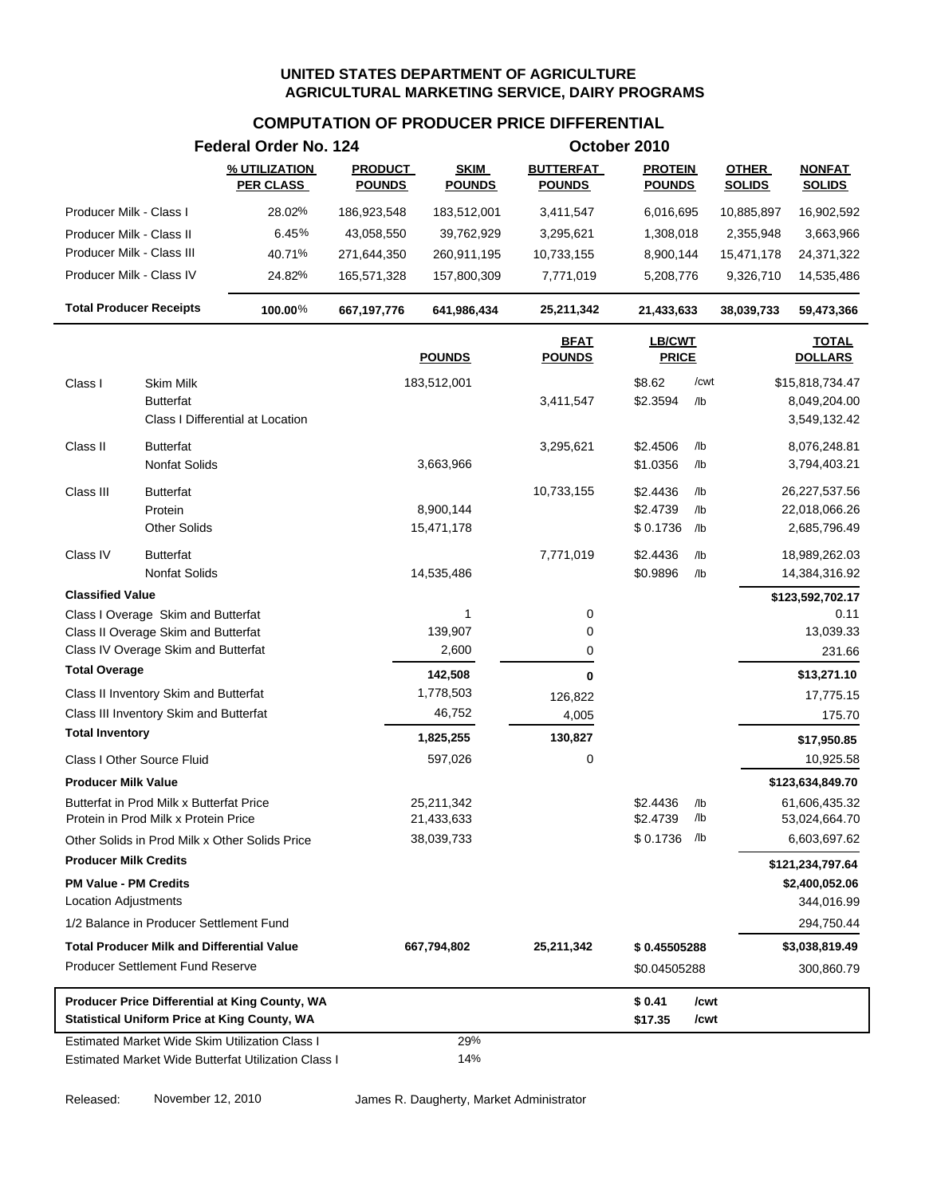# **COMPUTATION OF PRODUCER PRICE DIFFERENTIAL**

|                                                                                  | Federal Order No. 124             |                                 |                              |                                   | October 2010                    |            |                               |                                    |
|----------------------------------------------------------------------------------|-----------------------------------|---------------------------------|------------------------------|-----------------------------------|---------------------------------|------------|-------------------------------|------------------------------------|
|                                                                                  | % UTILIZATION<br><b>PER CLASS</b> | <b>PRODUCT</b><br><b>POUNDS</b> | <b>SKIM</b><br><b>POUNDS</b> | <b>BUTTERFAT</b><br><b>POUNDS</b> | <b>PROTEIN</b><br><b>POUNDS</b> |            | <b>OTHER</b><br><b>SOLIDS</b> | <b>NONFAT</b><br><b>SOLIDS</b>     |
| Producer Milk - Class I                                                          | 28.02%                            | 186,923,548                     | 183,512,001                  | 3,411,547                         | 6,016,695                       |            | 10,885,897                    | 16,902,592                         |
| Producer Milk - Class II                                                         | 6.45%                             | 43,058,550                      | 39,762,929                   | 3,295,621                         | 1,308,018                       |            | 2,355,948                     | 3,663,966                          |
| Producer Milk - Class III                                                        | 40.71%                            | 271,644,350                     | 260,911,195                  | 10,733,155                        | 8,900,144                       |            | 15,471,178                    | 24,371,322                         |
| Producer Milk - Class IV                                                         | 24.82%                            | 165,571,328                     | 157,800,309                  | 7,771,019                         | 5,208,776                       |            | 9,326,710                     | 14,535,486                         |
| <b>Total Producer Receipts</b>                                                   | 100.00%                           | 667, 197, 776                   | 641,986,434                  | 25,211,342                        | 21,433,633                      |            | 38,039,733                    | 59,473,366                         |
|                                                                                  |                                   |                                 | <b>POUNDS</b>                | <b>BFAT</b><br><b>POUNDS</b>      | LB/CWT<br><b>PRICE</b>          |            |                               | <b>TOTAL</b><br><b>DOLLARS</b>     |
| Class I<br>Skim Milk                                                             |                                   |                                 | 183,512,001                  |                                   | \$8.62                          | /cwt       |                               | \$15,818,734.47                    |
| <b>Butterfat</b>                                                                 |                                   |                                 |                              | 3,411,547                         | \$2.3594                        | /lb        |                               | 8,049,204.00                       |
| Class I Differential at Location                                                 |                                   |                                 |                              |                                   |                                 |            |                               | 3,549,132.42                       |
| Class II<br><b>Butterfat</b>                                                     |                                   |                                 |                              | 3,295,621                         | \$2.4506                        | /lb        |                               | 8,076,248.81                       |
| <b>Nonfat Solids</b>                                                             |                                   |                                 | 3,663,966                    |                                   | \$1.0356                        | /lb        |                               | 3,794,403.21                       |
| Class III<br><b>Butterfat</b>                                                    |                                   |                                 |                              | 10,733,155                        | \$2.4436                        | /lb        |                               | 26,227,537.56                      |
| Protein                                                                          |                                   |                                 | 8,900,144                    |                                   | \$2.4739                        | /lb        |                               | 22,018,066.26                      |
| <b>Other Solids</b>                                                              |                                   |                                 | 15,471,178                   |                                   | \$0.1736                        | /lb        |                               | 2,685,796.49                       |
| Class IV<br><b>Butterfat</b>                                                     |                                   |                                 |                              | 7,771,019                         | \$2.4436                        | /lb        |                               | 18,989,262.03                      |
| <b>Nonfat Solids</b>                                                             |                                   |                                 | 14,535,486                   |                                   | \$0.9896                        | /lb        |                               | 14,384,316.92                      |
| <b>Classified Value</b>                                                          |                                   |                                 |                              |                                   |                                 |            |                               | \$123,592,702.17                   |
| Class I Overage Skim and Butterfat                                               |                                   |                                 | 1                            | 0                                 |                                 |            |                               | 0.11                               |
| Class II Overage Skim and Butterfat                                              |                                   |                                 | 139,907                      | 0                                 |                                 |            |                               | 13,039.33                          |
| Class IV Overage Skim and Butterfat                                              |                                   |                                 | 2,600                        | 0                                 |                                 |            |                               | 231.66                             |
| <b>Total Overage</b>                                                             |                                   |                                 | 142,508                      | 0                                 |                                 |            |                               | \$13,271.10                        |
| Class II Inventory Skim and Butterfat                                            |                                   |                                 | 1,778,503                    | 126,822                           |                                 |            |                               | 17,775.15                          |
| Class III Inventory Skim and Butterfat                                           |                                   |                                 | 46,752                       | 4,005                             |                                 |            |                               | 175.70                             |
| <b>Total Inventory</b>                                                           |                                   |                                 | 1,825,255                    | 130,827                           |                                 |            |                               | \$17,950.85                        |
| Class I Other Source Fluid                                                       |                                   |                                 | 597,026                      | 0                                 |                                 |            |                               | 10,925.58                          |
| <b>Producer Milk Value</b>                                                       |                                   |                                 |                              |                                   |                                 |            |                               | \$123,634,849.70                   |
| Butterfat in Prod Milk x Butterfat Price<br>Protein in Prod Milk x Protein Price |                                   |                                 | 25,211,342<br>21,433,633     |                                   | \$2.4436<br>\$2.4739            | /lb<br>/lb |                               | 61,606,435.32<br>53,024,664.70     |
| Other Solids in Prod Milk x Other Solids Price                                   |                                   |                                 | 38,039,733                   |                                   | \$0.1736                        | /lb        |                               | 6,603,697.62                       |
| <b>Producer Milk Credits</b>                                                     |                                   |                                 |                              |                                   |                                 |            |                               |                                    |
| <b>PM Value - PM Credits</b>                                                     |                                   |                                 |                              |                                   |                                 |            |                               | \$121,234,797.64<br>\$2,400,052.06 |
| Location Adjustments                                                             |                                   |                                 |                              |                                   |                                 |            |                               | 344,016.99                         |
| 1/2 Balance in Producer Settlement Fund                                          |                                   |                                 |                              |                                   |                                 |            |                               | 294,750.44                         |
| <b>Total Producer Milk and Differential Value</b>                                |                                   |                                 | 667,794,802                  | 25,211,342                        | \$0.45505288                    |            |                               | \$3,038,819.49                     |
| <b>Producer Settlement Fund Reserve</b>                                          |                                   |                                 |                              |                                   | \$0.04505288                    |            |                               | 300,860.79                         |
| Producer Price Differential at King County, WA                                   |                                   |                                 |                              |                                   | \$0.41                          | /cwt       |                               |                                    |
| <b>Statistical Uniform Price at King County, WA</b>                              |                                   |                                 |                              |                                   | \$17.35                         | /cwt       |                               |                                    |
| <b>Estimated Market Wide Skim Utilization Class I</b>                            |                                   |                                 | 29%                          |                                   |                                 |            |                               |                                    |
| Estimated Market Wide Butterfat Utilization Class I                              |                                   |                                 | 14%                          |                                   |                                 |            |                               |                                    |

Released: November 12, 2010 James R. Daugherty, Market Administrator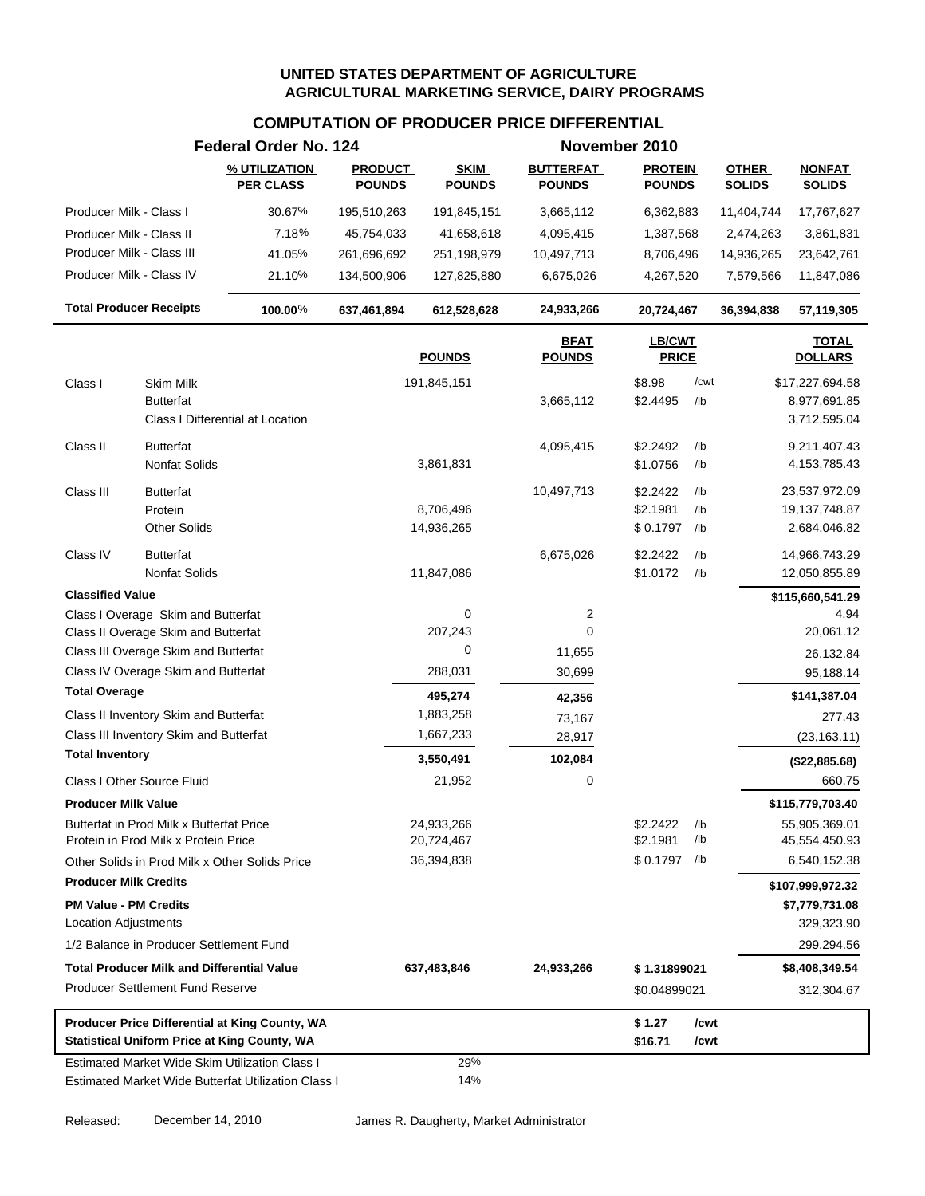# **COMPUTATION OF PRODUCER PRICE DIFFERENTIAL**

|                                                                                  | Federal Order No. 124             |                                 |                              |                                   | November 2010                   |               |                               |                                  |
|----------------------------------------------------------------------------------|-----------------------------------|---------------------------------|------------------------------|-----------------------------------|---------------------------------|---------------|-------------------------------|----------------------------------|
|                                                                                  | % UTILIZATION<br><b>PER CLASS</b> | <b>PRODUCT</b><br><b>POUNDS</b> | <b>SKIM</b><br><b>POUNDS</b> | <b>BUTTERFAT</b><br><b>POUNDS</b> | <b>PROTEIN</b><br><b>POUNDS</b> |               | <b>OTHER</b><br><b>SOLIDS</b> | <b>NONFAT</b><br><b>SOLIDS</b>   |
| Producer Milk - Class I                                                          | 30.67%                            | 195,510,263                     | 191,845,151                  | 3,665,112                         | 6,362,883                       |               | 11,404,744                    | 17,767,627                       |
| Producer Milk - Class II                                                         | 7.18%                             | 45,754,033                      | 41,658,618                   | 4,095,415                         | 1,387,568                       |               | 2,474,263                     | 3,861,831                        |
| Producer Milk - Class III                                                        | 41.05%                            | 261,696,692                     | 251,198,979                  | 10,497,713                        | 8,706,496                       |               | 14,936,265                    | 23,642,761                       |
| Producer Milk - Class IV                                                         | 21.10%                            | 134,500,906                     | 127,825,880                  | 6,675,026                         | 4,267,520                       |               | 7,579,566                     | 11,847,086                       |
| <b>Total Producer Receipts</b>                                                   | 100.00%                           | 637,461,894                     | 612,528,628                  | 24,933,266                        | 20,724,467                      |               | 36,394,838                    | 57,119,305                       |
|                                                                                  |                                   |                                 | <b>POUNDS</b>                | <b>BFAT</b><br><b>POUNDS</b>      | <b>LB/CWT</b><br><b>PRICE</b>   |               |                               | <b>TOTAL</b><br><b>DOLLARS</b>   |
| <b>Skim Milk</b><br>Class I                                                      |                                   |                                 | 191,845,151                  |                                   | \$8.98                          | /cwt          |                               | \$17,227,694.58                  |
| <b>Butterfat</b>                                                                 |                                   |                                 |                              | 3,665,112                         | \$2.4495                        | /lb           |                               | 8,977,691.85                     |
|                                                                                  | Class I Differential at Location  |                                 |                              |                                   |                                 |               |                               | 3,712,595.04                     |
| Class II<br><b>Butterfat</b>                                                     |                                   |                                 |                              | 4,095,415                         | \$2.2492                        | /lb           |                               | 9,211,407.43                     |
| Nonfat Solids                                                                    |                                   |                                 | 3,861,831                    |                                   | \$1.0756                        | $/$ lb        |                               | 4, 153, 785. 43                  |
|                                                                                  |                                   |                                 |                              |                                   |                                 |               |                               |                                  |
| Class III<br><b>Butterfat</b><br>Protein                                         |                                   |                                 | 8,706,496                    | 10,497,713                        | \$2.2422<br>\$2.1981            | /lb<br>$/$ lb |                               | 23,537,972.09<br>19, 137, 748.87 |
| <b>Other Solids</b>                                                              |                                   |                                 | 14,936,265                   |                                   | \$0.1797                        | /lb           |                               | 2,684,046.82                     |
|                                                                                  |                                   |                                 |                              |                                   |                                 |               |                               |                                  |
| Class IV<br><b>Butterfat</b><br>Nonfat Solids                                    |                                   |                                 |                              | 6,675,026                         | \$2.2422                        | /lb<br>$/$ lb |                               | 14,966,743.29                    |
|                                                                                  |                                   |                                 | 11,847,086                   |                                   | \$1.0172                        |               |                               | 12,050,855.89                    |
| <b>Classified Value</b>                                                          |                                   |                                 |                              |                                   |                                 |               |                               | \$115,660,541.29                 |
| Class I Overage Skim and Butterfat<br>Class II Overage Skim and Butterfat        |                                   |                                 | 0<br>207,243                 | 2<br>0                            |                                 |               |                               | 4.94<br>20,061.12                |
| Class III Overage Skim and Butterfat                                             |                                   |                                 | 0                            | 11,655                            |                                 |               |                               |                                  |
| Class IV Overage Skim and Butterfat                                              |                                   |                                 | 288,031                      | 30,699                            |                                 |               |                               | 26,132.84<br>95,188.14           |
| <b>Total Overage</b>                                                             |                                   |                                 |                              |                                   |                                 |               |                               |                                  |
| Class II Inventory Skim and Butterfat                                            |                                   |                                 | 495,274<br>1,883,258         | 42,356                            |                                 |               |                               | \$141,387.04<br>277.43           |
| Class III Inventory Skim and Butterfat                                           |                                   |                                 | 1,667,233                    | 73,167<br>28,917                  |                                 |               |                               | (23, 163.11)                     |
| <b>Total Inventory</b>                                                           |                                   |                                 |                              |                                   |                                 |               |                               |                                  |
|                                                                                  |                                   |                                 | 3,550,491                    | 102,084                           |                                 |               |                               | (\$22,885.68)                    |
| Class I Other Source Fluid                                                       |                                   |                                 | 21,952                       | 0                                 |                                 |               |                               | 660.75                           |
| <b>Producer Milk Value</b>                                                       |                                   |                                 |                              |                                   |                                 |               |                               | \$115,779,703.40                 |
| Butterfat in Prod Milk x Butterfat Price<br>Protein in Prod Milk x Protein Price |                                   |                                 | 24,933,266<br>20,724,467     |                                   | \$2.2422<br>\$2.1981            | /lb<br>/lb    |                               | 55,905,369.01<br>45,554,450.93   |
| Other Solids in Prod Milk x Other Solids Price                                   |                                   |                                 | 36,394,838                   |                                   | \$0.1797 /lb                    |               |                               | 6,540,152.38                     |
| <b>Producer Milk Credits</b>                                                     |                                   |                                 |                              |                                   |                                 |               |                               | \$107,999,972.32                 |
| <b>PM Value - PM Credits</b>                                                     |                                   |                                 |                              |                                   |                                 |               |                               | \$7,779,731.08                   |
| <b>Location Adjustments</b>                                                      |                                   |                                 |                              |                                   |                                 |               |                               | 329,323.90                       |
| 1/2 Balance in Producer Settlement Fund                                          |                                   |                                 |                              |                                   |                                 |               |                               | 299,294.56                       |
| <b>Total Producer Milk and Differential Value</b>                                |                                   |                                 | 637,483,846                  | 24,933,266                        | \$1.31899021                    |               |                               | \$8,408,349.54                   |
| <b>Producer Settlement Fund Reserve</b>                                          |                                   |                                 |                              |                                   | \$0.04899021                    |               |                               | 312,304.67                       |
| Producer Price Differential at King County, WA                                   |                                   |                                 |                              |                                   | \$1.27                          | /cwt          |                               |                                  |
| <b>Statistical Uniform Price at King County, WA</b>                              |                                   |                                 |                              |                                   | \$16.71                         | /cwt          |                               |                                  |
| <b>Estimated Market Wide Skim Utilization Class I</b>                            |                                   |                                 | 29%                          |                                   |                                 |               |                               |                                  |
| Estimated Market Wide Butterfat Utilization Class I                              |                                   |                                 | 14%                          |                                   |                                 |               |                               |                                  |